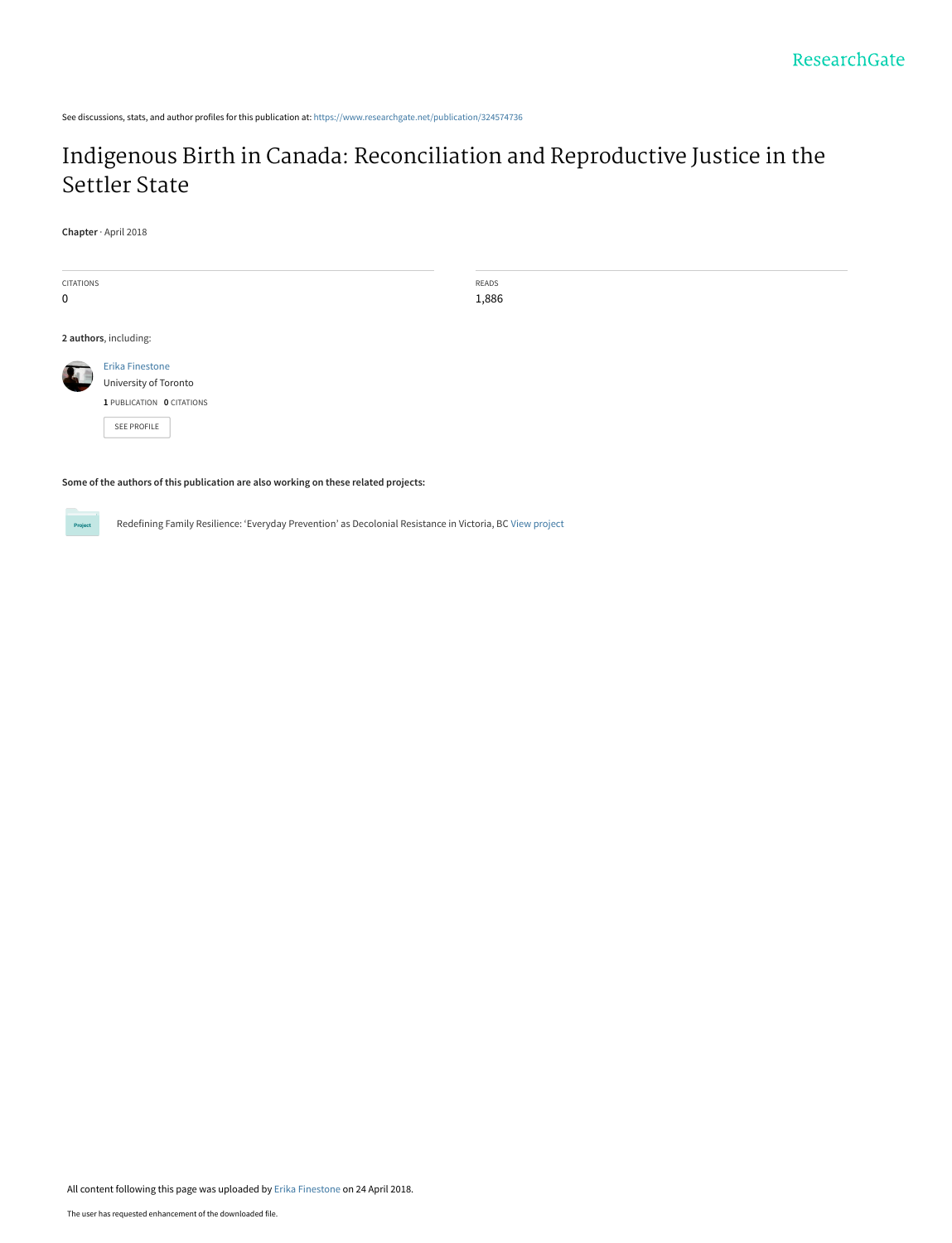See discussions, stats, and author profiles for this publication at: [https://www.researchgate.net/publication/324574736](https://www.researchgate.net/publication/324574736_Indigenous_Birth_in_Canada_Reconciliation_and_Reproductive_Justice_in_the_Settler_State?enrichId=rgreq-43c65d082417177b89d1145cb2d85ebf-XXX&enrichSource=Y292ZXJQYWdlOzMyNDU3NDczNjtBUzo2MTkwMDEwMzgyNDk5ODRAMTUyNDU5Mjc1NjE2Ng%3D%3D&el=1_x_2&_esc=publicationCoverPdf)

# [Indigenous Birth in Canada: Reconciliation and Reproductive Justice in the](https://www.researchgate.net/publication/324574736_Indigenous_Birth_in_Canada_Reconciliation_and_Reproductive_Justice_in_the_Settler_State?enrichId=rgreq-43c65d082417177b89d1145cb2d85ebf-XXX&enrichSource=Y292ZXJQYWdlOzMyNDU3NDczNjtBUzo2MTkwMDEwMzgyNDk5ODRAMTUyNDU5Mjc1NjE2Ng%3D%3D&el=1_x_3&_esc=publicationCoverPdf) Settler State

**Chapter** · April 2018

| READS<br>1,886 |
|----------------|
|                |
|                |
|                |
|                |

**Some of the authors of this publication are also working on these related projects:**

Redefining Family Resilience: 'Everyday Prevention' as Decolonial Resistance in Victoria, BC [View project](https://www.researchgate.net/project/Redefining-Family-Resilience-Everyday-Prevention-as-Decolonial-Resistance-in-Victoria-BC?enrichId=rgreq-43c65d082417177b89d1145cb2d85ebf-XXX&enrichSource=Y292ZXJQYWdlOzMyNDU3NDczNjtBUzo2MTkwMDEwMzgyNDk5ODRAMTUyNDU5Mjc1NjE2Ng%3D%3D&el=1_x_9&_esc=publicationCoverPdf) Project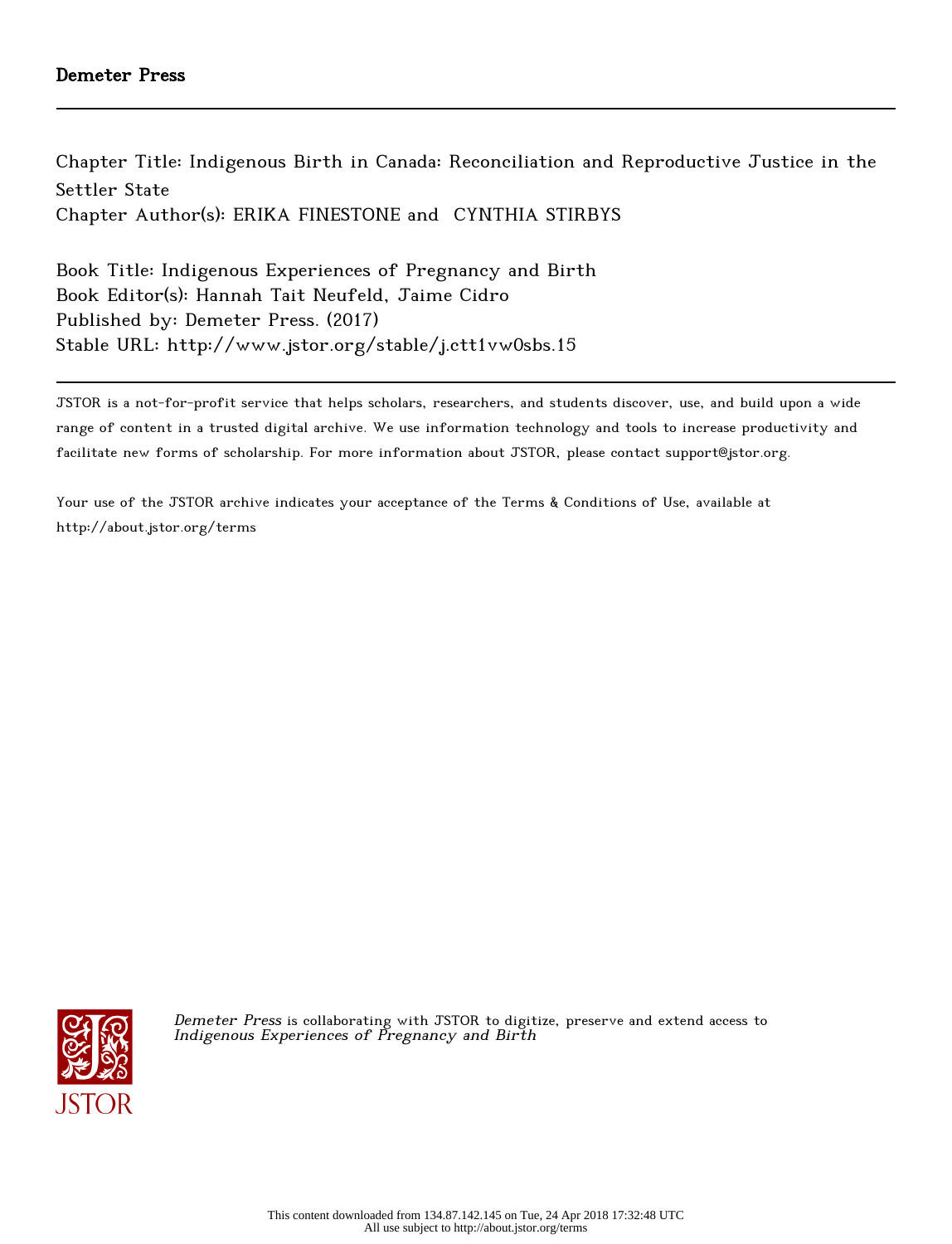## Demeter Press

Chapter Title: Indigenous Birth in Canada: Reconciliation and Reproductive Justice in the Settler State Chapter Author(s): ERIKA FINESTONE and CYNTHIA STIRBYS

Book Title: Indigenous Experiences of Pregnancy and Birth Book Editor(s): Hannah Tait Neufeld, Jaime Cidro Published by: Demeter Press. (2017) Stable URL: http://www.jstor.org/stable/j.ctt1vw0sbs.15

JSTOR is a not-for-profit service that helps scholars, researchers, and students discover, use, and build upon a wide range of content in a trusted digital archive. We use information technology and tools to increase productivity and facilitate new forms of scholarship. For more information about JSTOR, please contact support@jstor.org.

Your use of the JSTOR archive indicates your acceptance of the Terms & Conditions of Use, available at http://about.jstor.org/terms



Demeter Press is collaborating with JSTOR to digitize, preserve and extend access to Indigenous Experiences of Pregnancy and Birth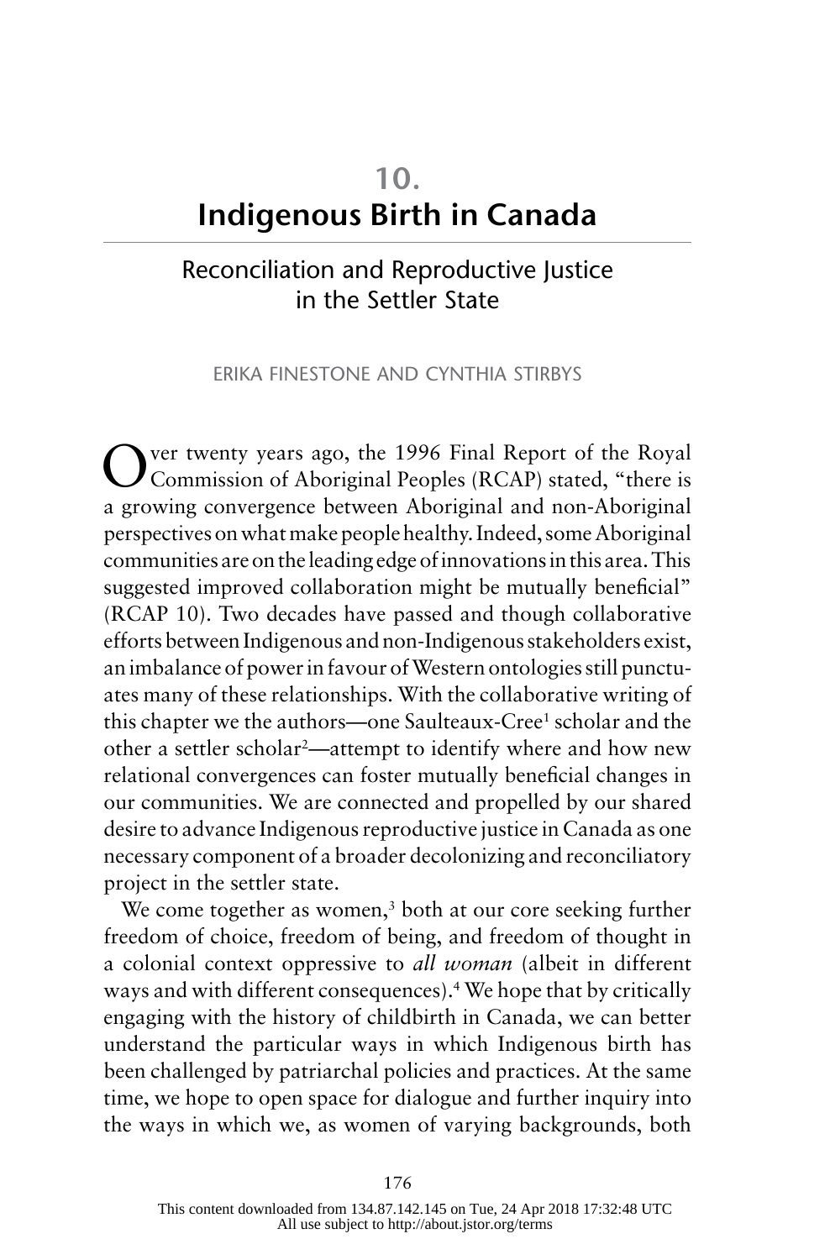# 10. Indigenous Birth in Canada

## Reconciliation and Reproductive Justice in the Settler State

erika finestone and cynthia stirbys

Ver twenty years ago, the 1996 Final Report of the Royal Commission of Aboriginal Peoples (RCAP) stated, "there is a growing convergence between Aboriginal and non-Aboriginal perspectives on what make people healthy. Indeed, some Aboriginal communities are on the leading edge of innovations in this area. This suggested improved collaboration might be mutually beneficial" (RCAP 10). Two decades have passed and though collaborative efforts between Indigenous and non-Indigenous stakeholders exist, an imbalance of power in favour of Western ontologies still punctuates many of these relationships. With the collaborative writing of this chapter we the authors—one Saulteaux-Cree<sup>1</sup> scholar and the other a settler scholar2 —attempt to identify where and how new relational convergences can foster mutually beneficial changes in our communities. We are connected and propelled by our shared desire to advance Indigenous reproductive justice in Canada as one necessary component of a broader decolonizing and reconciliatory project in the settler state.

We come together as women,<sup>3</sup> both at our core seeking further freedom of choice, freedom of being, and freedom of thought in a colonial context oppressive to *all woman* (albeit in different ways and with different consequences).4 We hope that by critically engaging with the history of childbirth in Canada, we can better understand the particular ways in which Indigenous birth has been challenged by patriarchal policies and practices. At the same time, we hope to open space for dialogue and further inquiry into the ways in which we, as women of varying backgrounds, both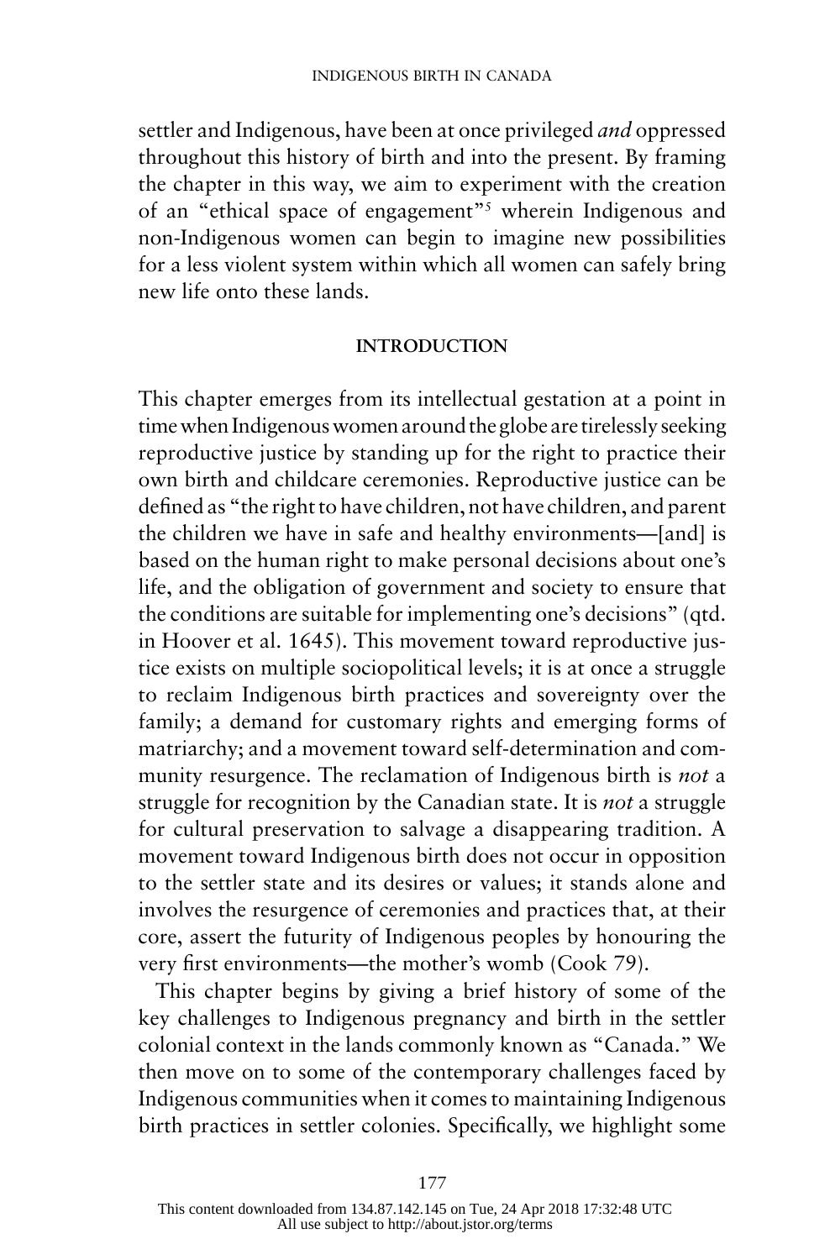settler and Indigenous, have been at once privileged *and* oppressed throughout this history of birth and into the present. By framing the chapter in this way, we aim to experiment with the creation of an "ethical space of engagement"<sup>5</sup> wherein Indigenous and non-Indigenous women can begin to imagine new possibilities for a less violent system within which all women can safely bring new life onto these lands.

#### **introduction**

This chapter emerges from its intellectual gestation at a point in time when Indigenous women around the globe are tirelessly seeking reproductive justice by standing up for the right to practice their own birth and childcare ceremonies. Reproductive justice can be defined as "the right to have children, not have children, and parent the children we have in safe and healthy environments—[and] is based on the human right to make personal decisions about one's life, and the obligation of government and society to ensure that the conditions are suitable for implementing one's decisions" (qtd. in Hoover et al. 1645). This movement toward reproductive justice exists on multiple sociopolitical levels; it is at once a struggle to reclaim Indigenous birth practices and sovereignty over the family; a demand for customary rights and emerging forms of matriarchy; and a movement toward self-determination and community resurgence. The reclamation of Indigenous birth is *not* a struggle for recognition by the Canadian state. It is *not* a struggle for cultural preservation to salvage a disappearing tradition. A movement toward Indigenous birth does not occur in opposition to the settler state and its desires or values; it stands alone and involves the resurgence of ceremonies and practices that, at their core, assert the futurity of Indigenous peoples by honouring the very first environments—the mother's womb (Cook 79).

This chapter begins by giving a brief history of some of the key challenges to Indigenous pregnancy and birth in the settler colonial context in the lands commonly known as "Canada." We then move on to some of the contemporary challenges faced by Indigenous communities when it comes to maintaining Indigenous birth practices in settler colonies. Specifically, we highlight some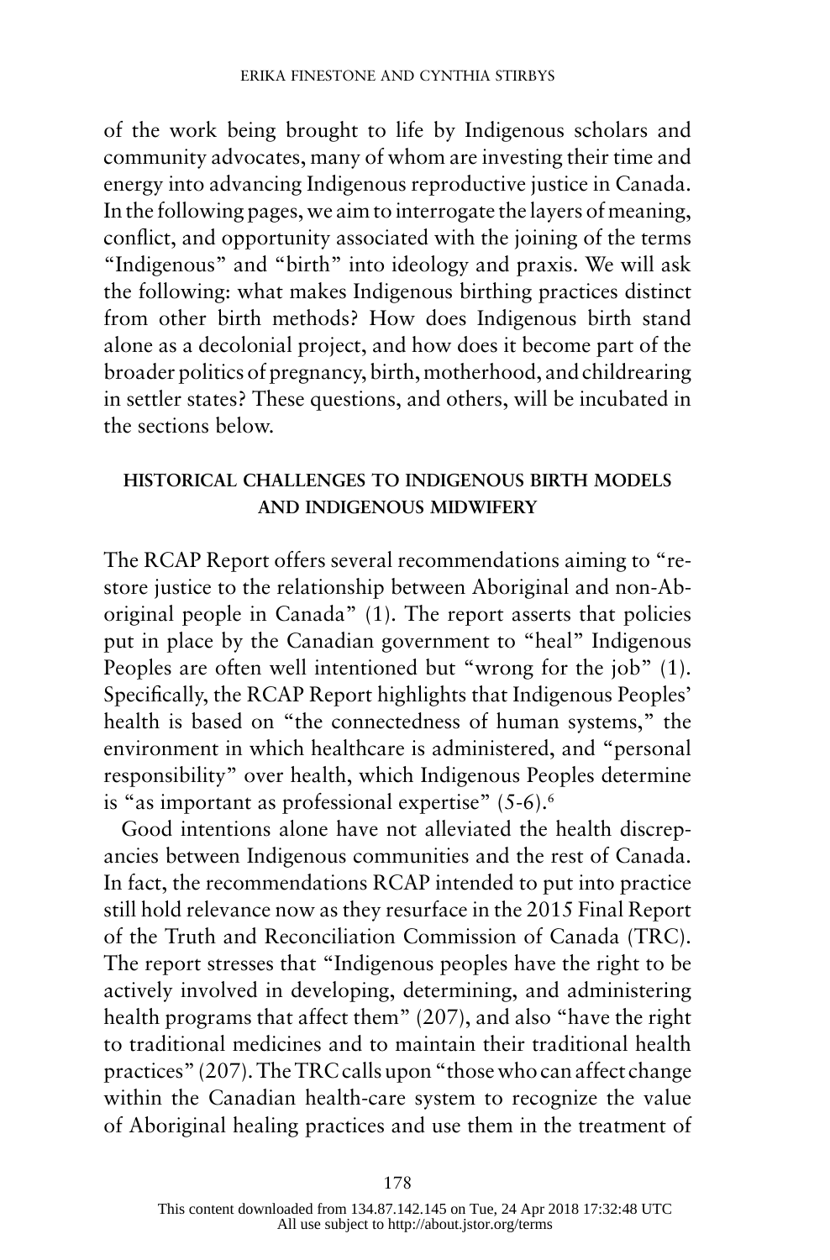of the work being brought to life by Indigenous scholars and community advocates, many of whom are investing their time and energy into advancing Indigenous reproductive justice in Canada. In the following pages, we aim to interrogate the layers of meaning, conflict, and opportunity associated with the joining of the terms "Indigenous" and "birth" into ideology and praxis. We will ask the following: what makes Indigenous birthing practices distinct from other birth methods? How does Indigenous birth stand alone as a decolonial project, and how does it become part of the broader politics of pregnancy, birth, motherhood, and childrearing in settler states? These questions, and others, will be incubated in the sections below.

### **historical challenges to indigenous birth models and indigenous midwifery**

The RCAP Report offers several recommendations aiming to "restore justice to the relationship between Aboriginal and non-Aboriginal people in Canada" (1). The report asserts that policies put in place by the Canadian government to "heal" Indigenous Peoples are often well intentioned but "wrong for the job" (1). Specifically, the RCAP Report highlights that Indigenous Peoples' health is based on "the connectedness of human systems," the environment in which healthcare is administered, and "personal responsibility" over health, which Indigenous Peoples determine is "as important as professional expertise"  $(5-6)$ .<sup>6</sup>

Good intentions alone have not alleviated the health discrepancies between Indigenous communities and the rest of Canada. In fact, the recommendations RCAP intended to put into practice still hold relevance now as they resurface in the 2015 Final Report of the Truth and Reconciliation Commission of Canada (TRC). The report stresses that "Indigenous peoples have the right to be actively involved in developing, determining, and administering health programs that affect them" (207), and also "have the right to traditional medicines and to maintain their traditional health practices" (207). The TRC calls upon "those who can affect change within the Canadian health-care system to recognize the value of Aboriginal healing practices and use them in the treatment of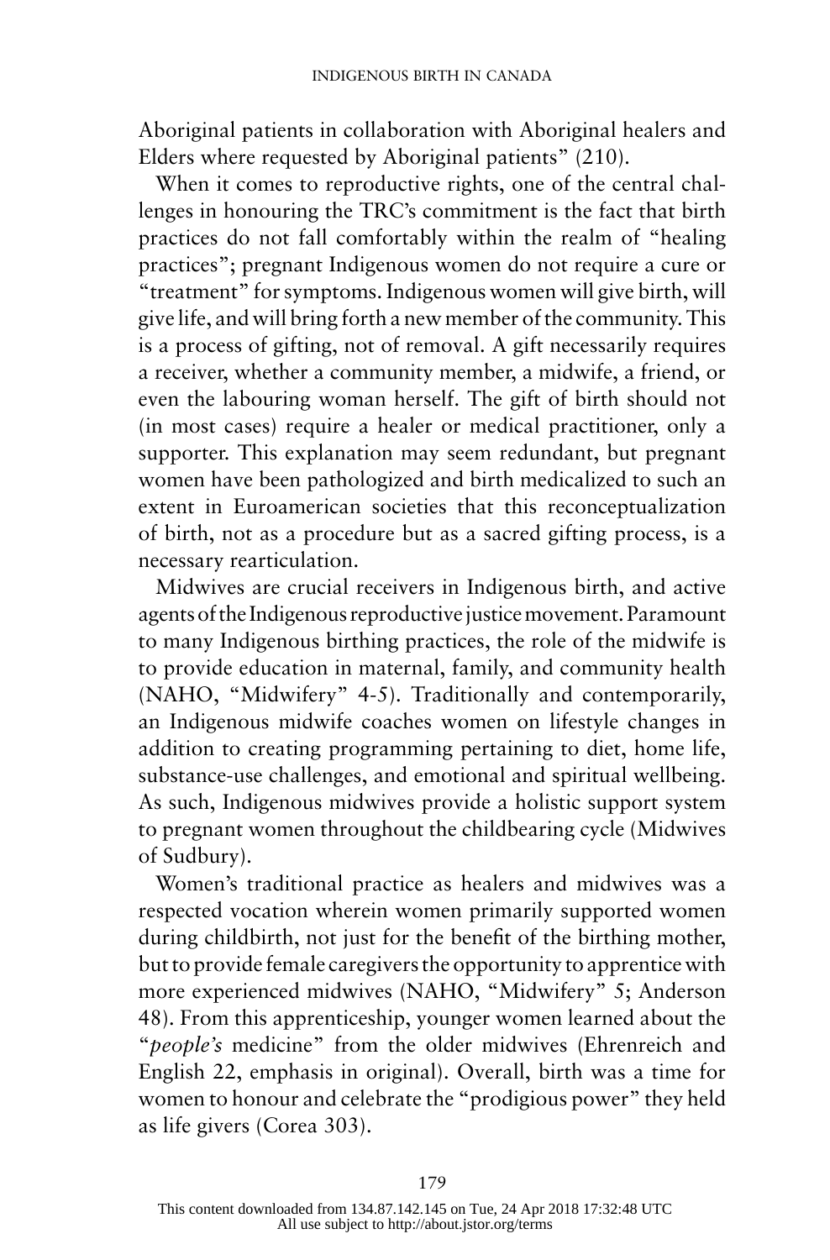Aboriginal patients in collaboration with Aboriginal healers and Elders where requested by Aboriginal patients" (210).

When it comes to reproductive rights, one of the central challenges in honouring the TRC's commitment is the fact that birth practices do not fall comfortably within the realm of "healing practices"; pregnant Indigenous women do not require a cure or "treatment" for symptoms. Indigenous women will give birth, will give life, and will bring forth a new member of the community. This is a process of gifting, not of removal. A gift necessarily requires a receiver, whether a community member, a midwife, a friend, or even the labouring woman herself. The gift of birth should not (in most cases) require a healer or medical practitioner, only a supporter. This explanation may seem redundant, but pregnant women have been pathologized and birth medicalized to such an extent in Euroamerican societies that this reconceptualization of birth, not as a procedure but as a sacred gifting process, is a necessary rearticulation.

Midwives are crucial receivers in Indigenous birth, and active agents of the Indigenous reproductive justice movement. Paramount to many Indigenous birthing practices, the role of the midwife is to provide education in maternal, family, and community health (NAHO, "Midwifery" 4-5). Traditionally and contemporarily, an Indigenous midwife coaches women on lifestyle changes in addition to creating programming pertaining to diet, home life, substance-use challenges, and emotional and spiritual wellbeing. As such, Indigenous midwives provide a holistic support system to pregnant women throughout the childbearing cycle (Midwives of Sudbury).

Women's traditional practice as healers and midwives was a respected vocation wherein women primarily supported women during childbirth, not just for the benefit of the birthing mother, but to provide female caregivers the opportunity to apprentice with more experienced midwives (NAHO, "Midwifery" 5; Anderson 48). From this apprenticeship, younger women learned about the "*people's* medicine" from the older midwives (Ehrenreich and English 22, emphasis in original). Overall, birth was a time for women to honour and celebrate the "prodigious power" they held as life givers (Corea 303).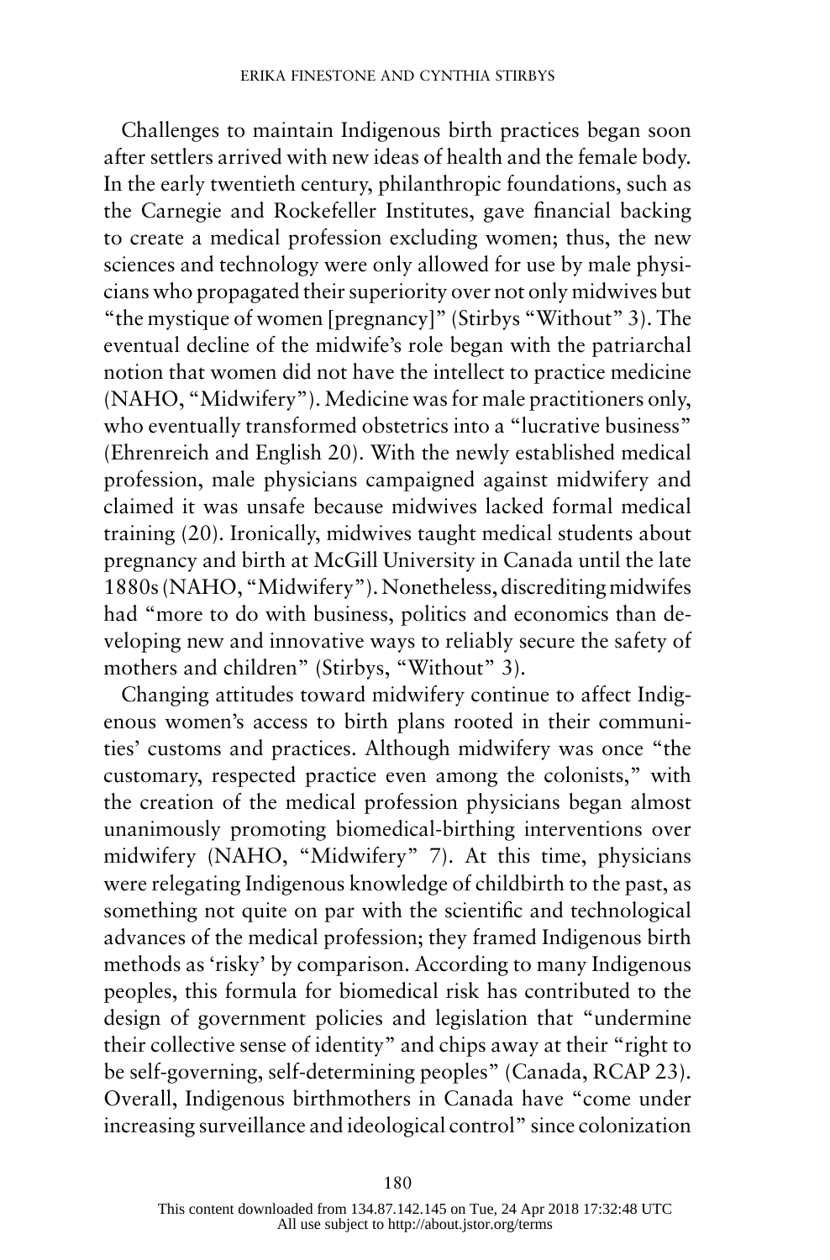Challenges to maintain Indigenous birth practices began soon after settlers arrived with new ideas of health and the female body. In the early twentieth century, philanthropic foundations, such as the Carnegie and Rockefeller Institutes, gave financial backing to create a medical profession excluding women; thus, the new sciences and technology were only allowed for use by male physicians who propagated their superiority over not only midwives but "the mystique of women [pregnancy]" (Stirbys "Without" 3). The eventual decline of the midwife's role began with the patriarchal notion that women did not have the intellect to practice medicine (NAHO, "Midwifery"). Medicine was for male practitioners only, who eventually transformed obstetrics into a "lucrative business" (Ehrenreich and English 20). With the newly established medical profession, male physicians campaigned against midwifery and claimed it was unsafe because midwives lacked formal medical training (20). Ironically, midwives taught medical students about pregnancy and birth at McGill University in Canada until the late 1880s (NAHO, "Midwifery"). Nonetheless, discrediting midwifes had "more to do with business, politics and economics than developing new and innovative ways to reliably secure the safety of mothers and children" (Stirbys, "Without" 3).

Changing attitudes toward midwifery continue to affect Indigenous women's access to birth plans rooted in their communities' customs and practices. Although midwifery was once "the customary, respected practice even among the colonists," with the creation of the medical profession physicians began almost unanimously promoting biomedical-birthing interventions over midwifery (NAHO, "Midwifery" 7). At this time, physicians were relegating Indigenous knowledge of childbirth to the past, as something not quite on par with the scientific and technological advances of the medical profession; they framed Indigenous birth methods as 'risky' by comparison. According to many Indigenous peoples, this formula for biomedical risk has contributed to the design of government policies and legislation that "undermine their collective sense of identity" and chips away at their "right to be self-governing, self-determining peoples" (Canada, RCAP 23). Overall, Indigenous birthmothers in Canada have "come under increasing surveillance and ideological control" since colonization

180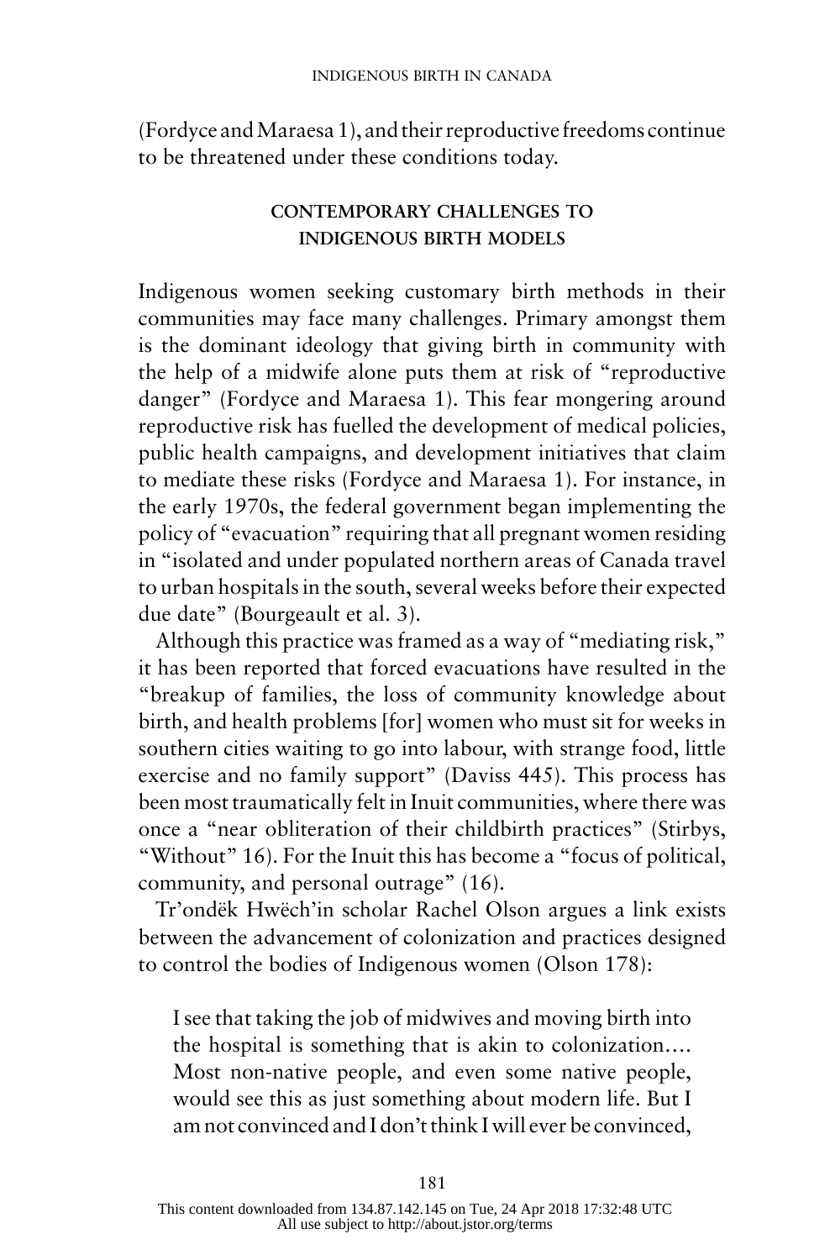(Fordyce and Maraesa 1), and their reproductive freedoms continue to be threatened under these conditions today.

## **contemporary challenges to indigenous birth models**

Indigenous women seeking customary birth methods in their communities may face many challenges. Primary amongst them is the dominant ideology that giving birth in community with the help of a midwife alone puts them at risk of "reproductive danger" (Fordyce and Maraesa 1). This fear mongering around reproductive risk has fuelled the development of medical policies, public health campaigns, and development initiatives that claim to mediate these risks (Fordyce and Maraesa 1). For instance, in the early 1970s, the federal government began implementing the policy of "evacuation" requiring that all pregnant women residing in "isolated and under populated northern areas of Canada travel to urban hospitals in the south, several weeks before their expected due date" (Bourgeault et al. 3).

Although this practice was framed as a way of "mediating risk," it has been reported that forced evacuations have resulted in the "breakup of families, the loss of community knowledge about birth, and health problems [for] women who must sit for weeks in southern cities waiting to go into labour, with strange food, little exercise and no family support" (Daviss 445). This process has been most traumatically felt in Inuit communities, where there was once a "near obliteration of their childbirth practices" (Stirbys, "Without" 16). For the Inuit this has become a "focus of political, community, and personal outrage" (16).

Tr'ondëk Hwëch'in scholar Rachel Olson argues a link exists between the advancement of colonization and practices designed to control the bodies of Indigenous women (Olson 178):

I see that taking the job of midwives and moving birth into the hospital is something that is akin to colonization…. Most non-native people, and even some native people, would see this as just something about modern life. But I am not convinced and I don't think I will ever be convinced,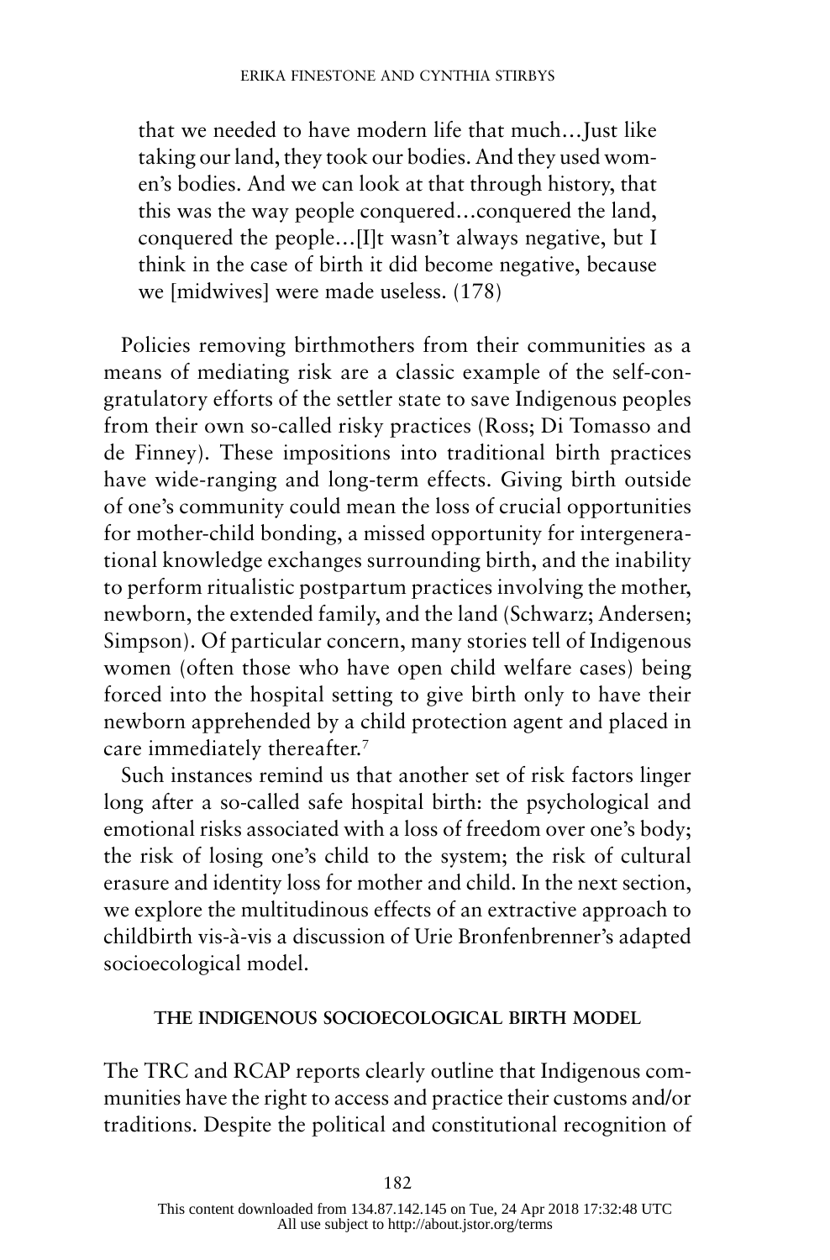that we needed to have modern life that much…Just like taking our land, they took our bodies. And they used women's bodies. And we can look at that through history, that this was the way people conquered…conquered the land, conquered the people…[I]t wasn't always negative, but I think in the case of birth it did become negative, because we [midwives] were made useless. (178)

Policies removing birthmothers from their communities as a means of mediating risk are a classic example of the self-congratulatory efforts of the settler state to save Indigenous peoples from their own so-called risky practices (Ross; Di Tomasso and de Finney). These impositions into traditional birth practices have wide-ranging and long-term effects. Giving birth outside of one's community could mean the loss of crucial opportunities for mother-child bonding, a missed opportunity for intergenerational knowledge exchanges surrounding birth, and the inability to perform ritualistic postpartum practices involving the mother, newborn, the extended family, and the land (Schwarz; Andersen; Simpson). Of particular concern, many stories tell of Indigenous women (often those who have open child welfare cases) being forced into the hospital setting to give birth only to have their newborn apprehended by a child protection agent and placed in care immediately thereafter.7

Such instances remind us that another set of risk factors linger long after a so-called safe hospital birth: the psychological and emotional risks associated with a loss of freedom over one's body; the risk of losing one's child to the system; the risk of cultural erasure and identity loss for mother and child. In the next section, we explore the multitudinous effects of an extractive approach to childbirth vis-à-vis a discussion of Urie Bronfenbrenner's adapted socioecological model.

#### **the indigenous socioecological birth model**

The TRC and RCAP reports clearly outline that Indigenous communities have the right to access and practice their customs and/or traditions. Despite the political and constitutional recognition of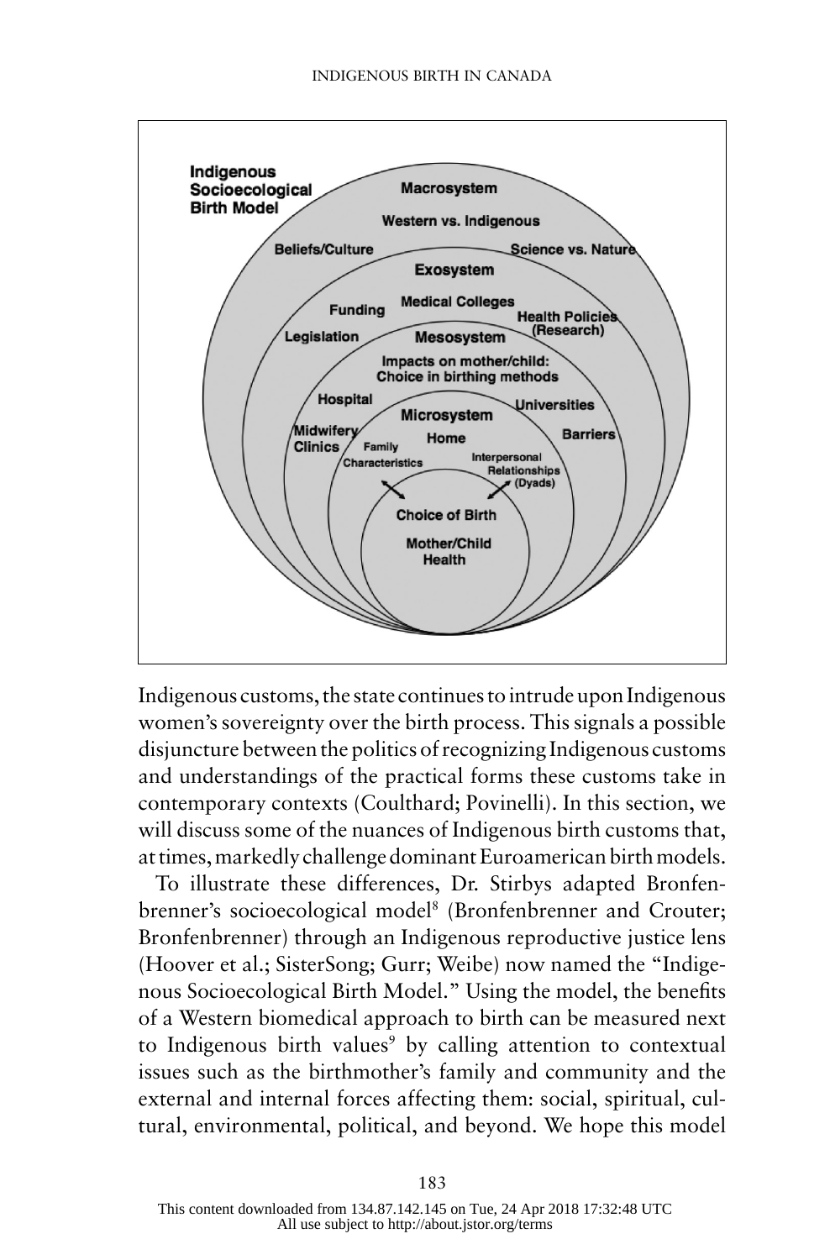

Indigenous customs, the state continues to intrude upon Indigenous women's sovereignty over the birth process. This signals a possible disjuncture between the politics of recognizing Indigenous customs and understandings of the practical forms these customs take in contemporary contexts (Coulthard; Povinelli). In this section, we will discuss some of the nuances of Indigenous birth customs that, at times, markedly challenge dominant Euroamerican birth models.

To illustrate these differences, Dr. Stirbys adapted Bronfenbrenner's socioecological model<sup>8</sup> (Bronfenbrenner and Crouter; Bronfenbrenner) through an Indigenous reproductive justice lens (Hoover et al.; SisterSong; Gurr; Weibe) now named the "Indigenous Socioecological Birth Model." Using the model, the benefits of a Western biomedical approach to birth can be measured next to Indigenous birth values<sup>9</sup> by calling attention to contextual issues such as the birthmother's family and community and the external and internal forces affecting them: social, spiritual, cultural, environmental, political, and beyond. We hope this model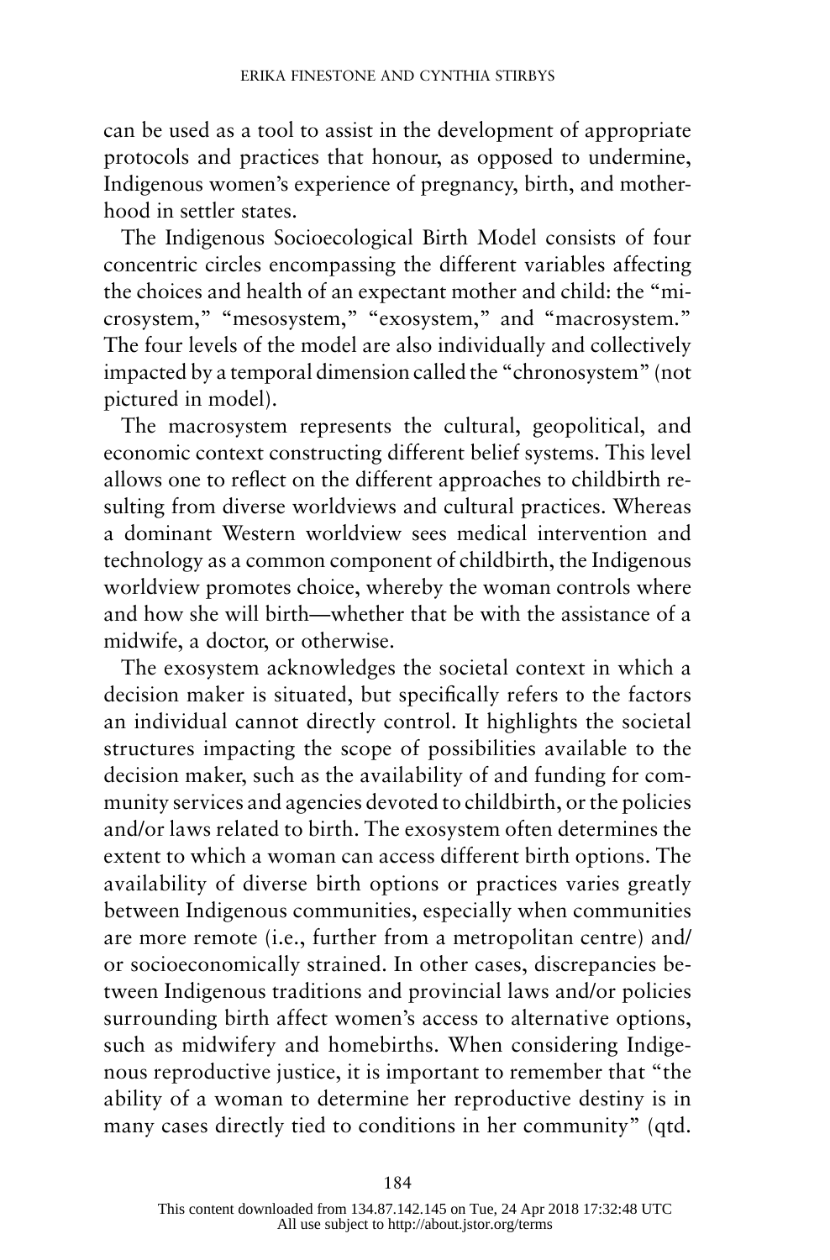can be used as a tool to assist in the development of appropriate protocols and practices that honour, as opposed to undermine, Indigenous women's experience of pregnancy, birth, and motherhood in settler states.

The Indigenous Socioecological Birth Model consists of four concentric circles encompassing the different variables affecting the choices and health of an expectant mother and child: the "microsystem," "mesosystem," "exosystem," and "macrosystem." The four levels of the model are also individually and collectively impacted by a temporal dimension called the "chronosystem" (not pictured in model).

The macrosystem represents the cultural, geopolitical, and economic context constructing different belief systems. This level allows one to reflect on the different approaches to childbirth resulting from diverse worldviews and cultural practices. Whereas a dominant Western worldview sees medical intervention and technology as a common component of childbirth, the Indigenous worldview promotes choice, whereby the woman controls where and how she will birth—whether that be with the assistance of a midwife, a doctor, or otherwise.

The exosystem acknowledges the societal context in which a decision maker is situated, but specifically refers to the factors an individual cannot directly control. It highlights the societal structures impacting the scope of possibilities available to the decision maker, such as the availability of and funding for community services and agencies devoted to childbirth, or the policies and/or laws related to birth. The exosystem often determines the extent to which a woman can access different birth options. The availability of diverse birth options or practices varies greatly between Indigenous communities, especially when communities are more remote (i.e., further from a metropolitan centre) and/ or socioeconomically strained. In other cases, discrepancies between Indigenous traditions and provincial laws and/or policies surrounding birth affect women's access to alternative options, such as midwifery and homebirths. When considering Indigenous reproductive justice, it is important to remember that "the ability of a woman to determine her reproductive destiny is in many cases directly tied to conditions in her community" (qtd.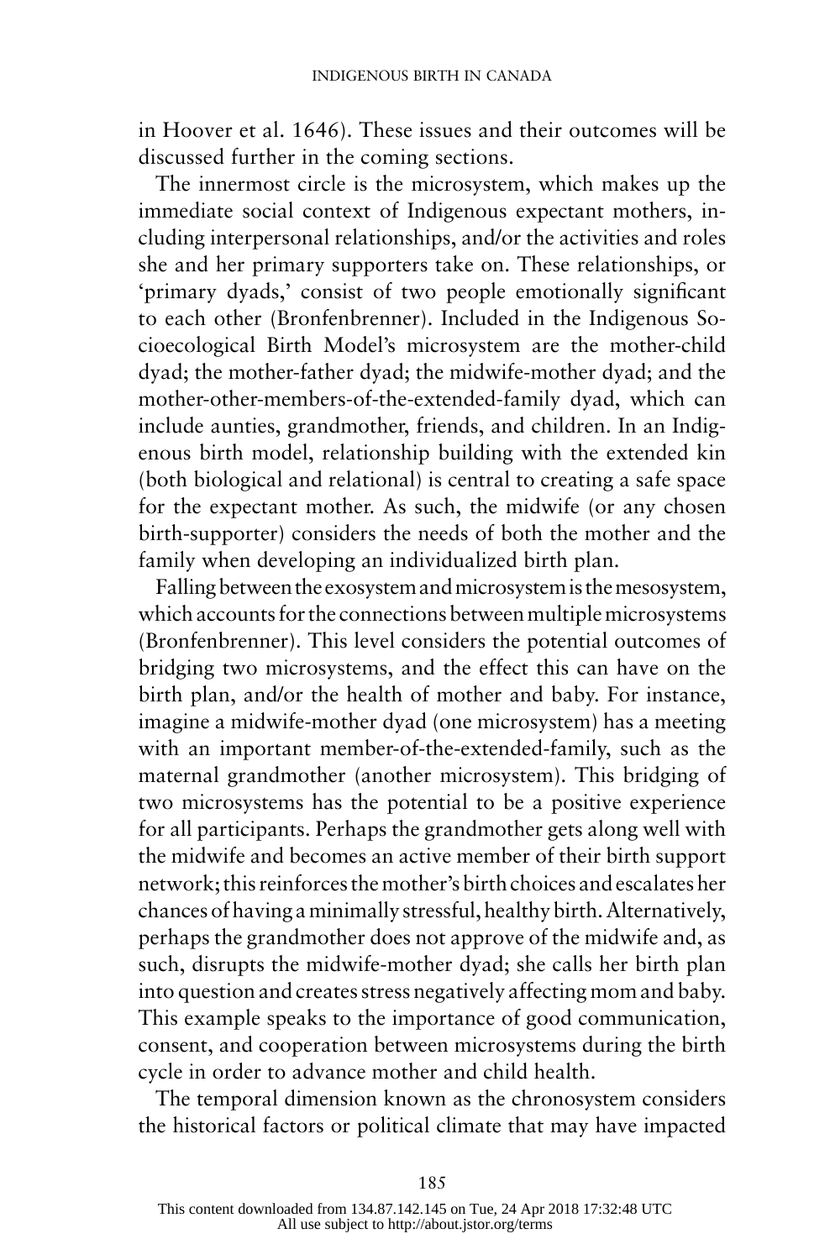in Hoover et al. 1646). These issues and their outcomes will be discussed further in the coming sections.

The innermost circle is the microsystem, which makes up the immediate social context of Indigenous expectant mothers, including interpersonal relationships, and/or the activities and roles she and her primary supporters take on. These relationships, or 'primary dyads,' consist of two people emotionally significant to each other (Bronfenbrenner). Included in the Indigenous Socioecological Birth Model's microsystem are the mother-child dyad; the mother-father dyad; the midwife-mother dyad; and the mother-other-members-of-the-extended-family dyad, which can include aunties, grandmother, friends, and children. In an Indigenous birth model, relationship building with the extended kin (both biological and relational) is central to creating a safe space for the expectant mother. As such, the midwife (or any chosen birth-supporter) considers the needs of both the mother and the family when developing an individualized birth plan.

Falling between the exosystem and microsystem is the mesosystem, which accounts for the connections between multiple microsystems (Bronfenbrenner). This level considers the potential outcomes of bridging two microsystems, and the effect this can have on the birth plan, and/or the health of mother and baby. For instance, imagine a midwife-mother dyad (one microsystem) has a meeting with an important member-of-the-extended-family, such as the maternal grandmother (another microsystem). This bridging of two microsystems has the potential to be a positive experience for all participants. Perhaps the grandmother gets along well with the midwife and becomes an active member of their birth support network; this reinforces the mother's birth choices and escalates her chances of having a minimally stressful, healthy birth. Alternatively, perhaps the grandmother does not approve of the midwife and, as such, disrupts the midwife-mother dyad; she calls her birth plan into question and creates stress negatively affecting mom and baby. This example speaks to the importance of good communication, consent, and cooperation between microsystems during the birth cycle in order to advance mother and child health.

The temporal dimension known as the chronosystem considers the historical factors or political climate that may have impacted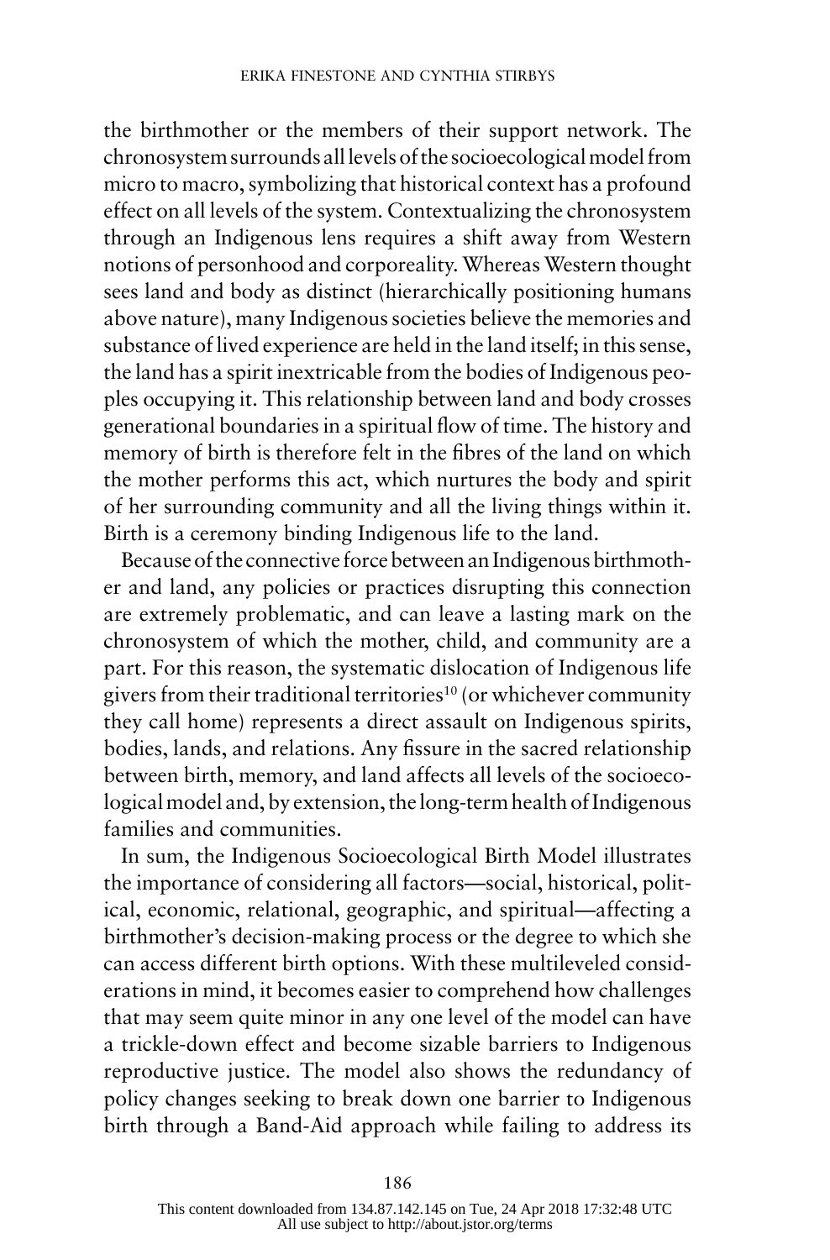the birthmother or the members of their support network. The chronosystem surrounds all levels of the socioecological model from micro to macro, symbolizing that historical context has a profound effect on all levels of the system. Contextualizing the chronosystem through an Indigenous lens requires a shift away from Western notions of personhood and corporeality. Whereas Western thought sees land and body as distinct (hierarchically positioning humans above nature), many Indigenous societies believe the memories and substance of lived experience are held in the land itself; in this sense, the land has a spirit inextricable from the bodies of Indigenous peoples occupying it. This relationship between land and body crosses generational boundaries in a spiritual flow of time. The history and memory of birth is therefore felt in the fibres of the land on which the mother performs this act, which nurtures the body and spirit of her surrounding community and all the living things within it. Birth is a ceremony binding Indigenous life to the land.

Because of the connective force between an Indigenous birthmother and land, any policies or practices disrupting this connection are extremely problematic, and can leave a lasting mark on the chronosystem of which the mother, child, and community are a part. For this reason, the systematic dislocation of Indigenous life givers from their traditional territories<sup>10</sup> (or whichever community they call home) represents a direct assault on Indigenous spirits, bodies, lands, and relations. Any fissure in the sacred relationship between birth, memory, and land affects all levels of the socioecological model and, by extension, the long-term health of Indigenous families and communities.

In sum, the Indigenous Socioecological Birth Model illustrates the importance of considering all factors—social, historical, political, economic, relational, geographic, and spiritual—affecting a birthmother's decision-making process or the degree to which she can access different birth options. With these multileveled considerations in mind, it becomes easier to comprehend how challenges that may seem quite minor in any one level of the model can have a trickle-down effect and become sizable barriers to Indigenous reproductive justice. The model also shows the redundancy of policy changes seeking to break down one barrier to Indigenous birth through a Band-Aid approach while failing to address its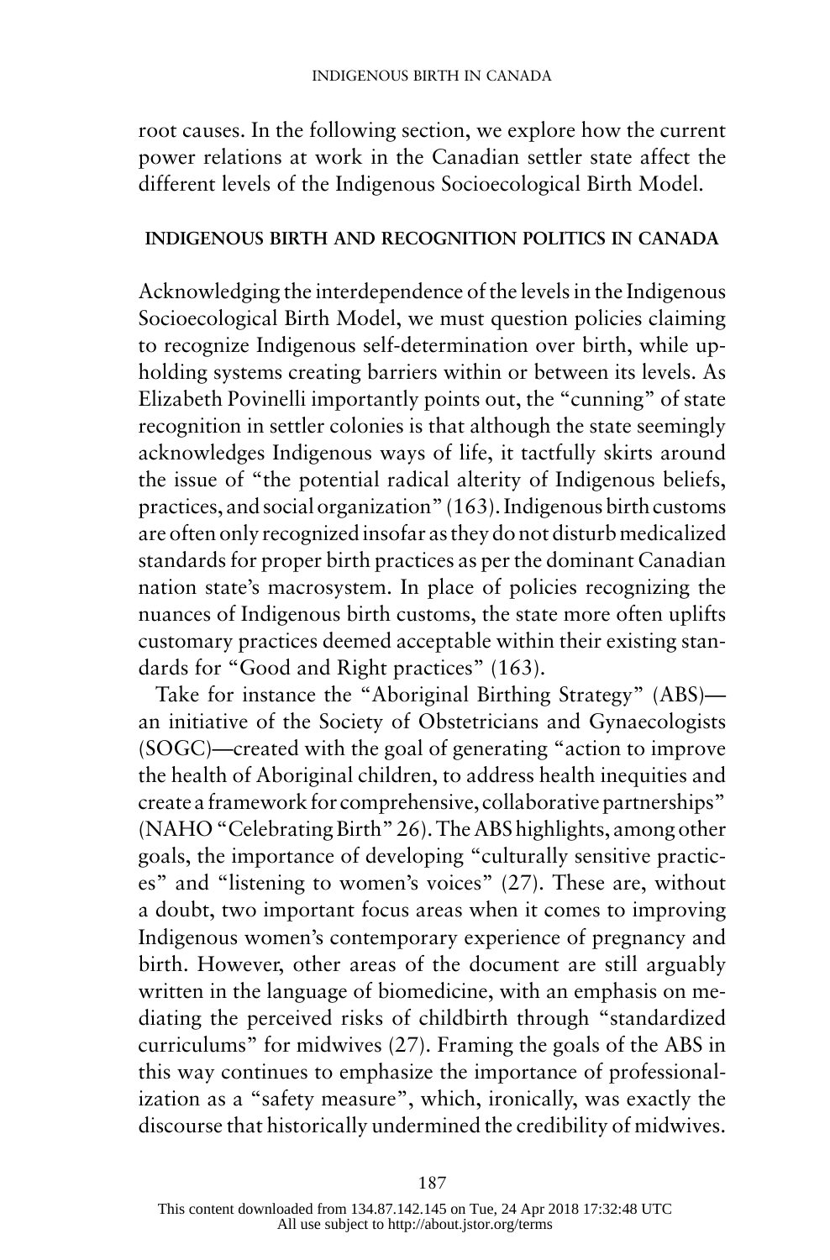root causes. In the following section, we explore how the current power relations at work in the Canadian settler state affect the different levels of the Indigenous Socioecological Birth Model.

#### **indigenous birth and recognition politics in canada**

Acknowledging the interdependence of the levels in the Indigenous Socioecological Birth Model, we must question policies claiming to recognize Indigenous self-determination over birth, while upholding systems creating barriers within or between its levels. As Elizabeth Povinelli importantly points out, the "cunning" of state recognition in settler colonies is that although the state seemingly acknowledges Indigenous ways of life, it tactfully skirts around the issue of "the potential radical alterity of Indigenous beliefs, practices, and social organization" (163). Indigenous birth customs are often only recognized insofar as they do not disturb medicalized standards for proper birth practices as per the dominant Canadian nation state's macrosystem. In place of policies recognizing the nuances of Indigenous birth customs, the state more often uplifts customary practices deemed acceptable within their existing standards for "Good and Right practices" (163).

Take for instance the "Aboriginal Birthing Strategy" (ABS) an initiative of the Society of Obstetricians and Gynaecologists (SOGC)—created with the goal of generating "action to improve the health of Aboriginal children, to address health inequities and create a framework for comprehensive, collaborative partnerships" (NAHO "Celebrating Birth" 26). The ABS highlights, among other goals, the importance of developing "culturally sensitive practices" and "listening to women's voices" (27). These are, without a doubt, two important focus areas when it comes to improving Indigenous women's contemporary experience of pregnancy and birth. However, other areas of the document are still arguably written in the language of biomedicine, with an emphasis on mediating the perceived risks of childbirth through "standardized curriculums" for midwives (27). Framing the goals of the ABS in this way continues to emphasize the importance of professionalization as a "safety measure", which, ironically, was exactly the discourse that historically undermined the credibility of midwives.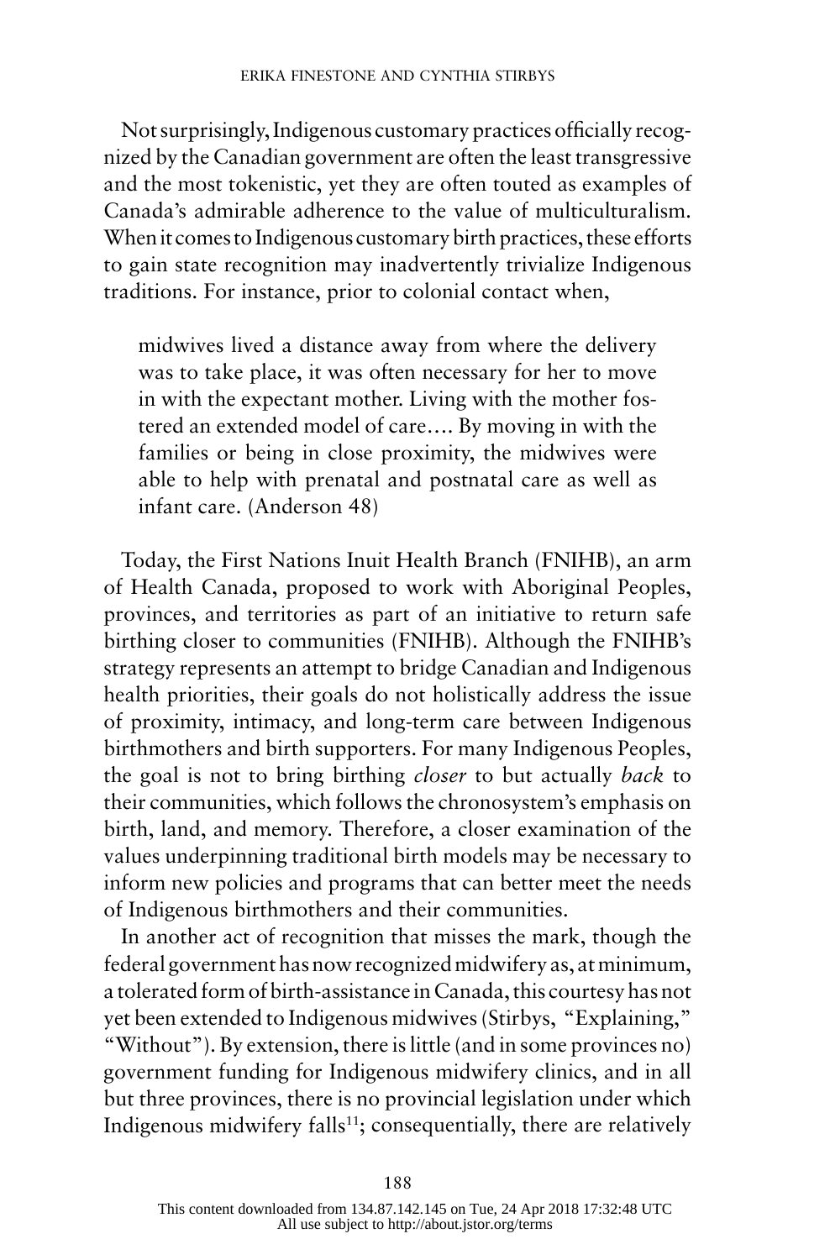Not surprisingly, Indigenous customary practices officially recognized by the Canadian government are often the least transgressive and the most tokenistic, yet they are often touted as examples of Canada's admirable adherence to the value of multiculturalism. When it comes to Indigenous customary birth practices, these efforts to gain state recognition may inadvertently trivialize Indigenous traditions. For instance, prior to colonial contact when,

midwives lived a distance away from where the delivery was to take place, it was often necessary for her to move in with the expectant mother. Living with the mother fostered an extended model of care…. By moving in with the families or being in close proximity, the midwives were able to help with prenatal and postnatal care as well as infant care. (Anderson 48)

Today, the First Nations Inuit Health Branch (FNIHB), an arm of Health Canada, proposed to work with Aboriginal Peoples, provinces, and territories as part of an initiative to return safe birthing closer to communities (FNIHB). Although the FNIHB's strategy represents an attempt to bridge Canadian and Indigenous health priorities, their goals do not holistically address the issue of proximity, intimacy, and long-term care between Indigenous birthmothers and birth supporters. For many Indigenous Peoples, the goal is not to bring birthing *closer* to but actually *back* to their communities, which follows the chronosystem's emphasis on birth, land, and memory. Therefore, a closer examination of the values underpinning traditional birth models may be necessary to inform new policies and programs that can better meet the needs of Indigenous birthmothers and their communities.

In another act of recognition that misses the mark, though the federal government has now recognized midwifery as, at minimum, a tolerated form of birth-assistance in Canada, this courtesy has not yet been extended to Indigenous midwives (Stirbys, "Explaining," "Without"). By extension, there is little (and in some provinces no) government funding for Indigenous midwifery clinics, and in all but three provinces, there is no provincial legislation under which Indigenous midwifery falls $11$ ; consequentially, there are relatively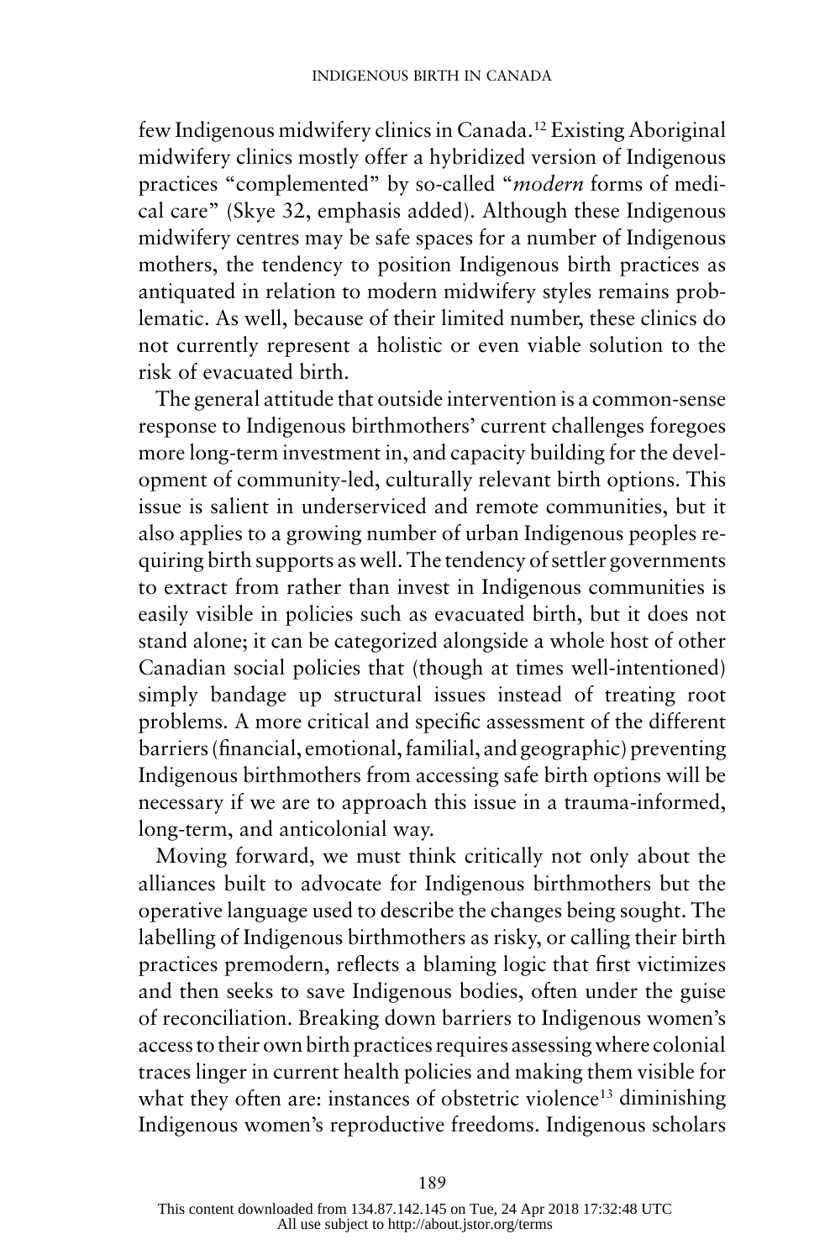few Indigenous midwifery clinics in Canada.12 Existing Aboriginal midwifery clinics mostly offer a hybridized version of Indigenous practices "complemented" by so-called "*modern* forms of medical care" (Skye 32, emphasis added). Although these Indigenous midwifery centres may be safe spaces for a number of Indigenous mothers, the tendency to position Indigenous birth practices as antiquated in relation to modern midwifery styles remains problematic. As well, because of their limited number, these clinics do not currently represent a holistic or even viable solution to the risk of evacuated birth.

The general attitude that outside intervention is a common-sense response to Indigenous birthmothers' current challenges foregoes more long-term investment in, and capacity building for the development of community-led, culturally relevant birth options. This issue is salient in underserviced and remote communities, but it also applies to a growing number of urban Indigenous peoples requiring birth supports as well. The tendency of settler governments to extract from rather than invest in Indigenous communities is easily visible in policies such as evacuated birth, but it does not stand alone; it can be categorized alongside a whole host of other Canadian social policies that (though at times well-intentioned) simply bandage up structural issues instead of treating root problems. A more critical and specific assessment of the different barriers (financial, emotional, familial, and geographic) preventing Indigenous birthmothers from accessing safe birth options will be necessary if we are to approach this issue in a trauma-informed, long-term, and anticolonial way.

Moving forward, we must think critically not only about the alliances built to advocate for Indigenous birthmothers but the operative language used to describe the changes being sought. The labelling of Indigenous birthmothers as risky, or calling their birth practices premodern, reflects a blaming logic that first victimizes and then seeks to save Indigenous bodies, often under the guise of reconciliation. Breaking down barriers to Indigenous women's access to their own birth practices requires assessing where colonial traces linger in current health policies and making them visible for what they often are: instances of obstetric violence<sup>13</sup> diminishing Indigenous women's reproductive freedoms. Indigenous scholars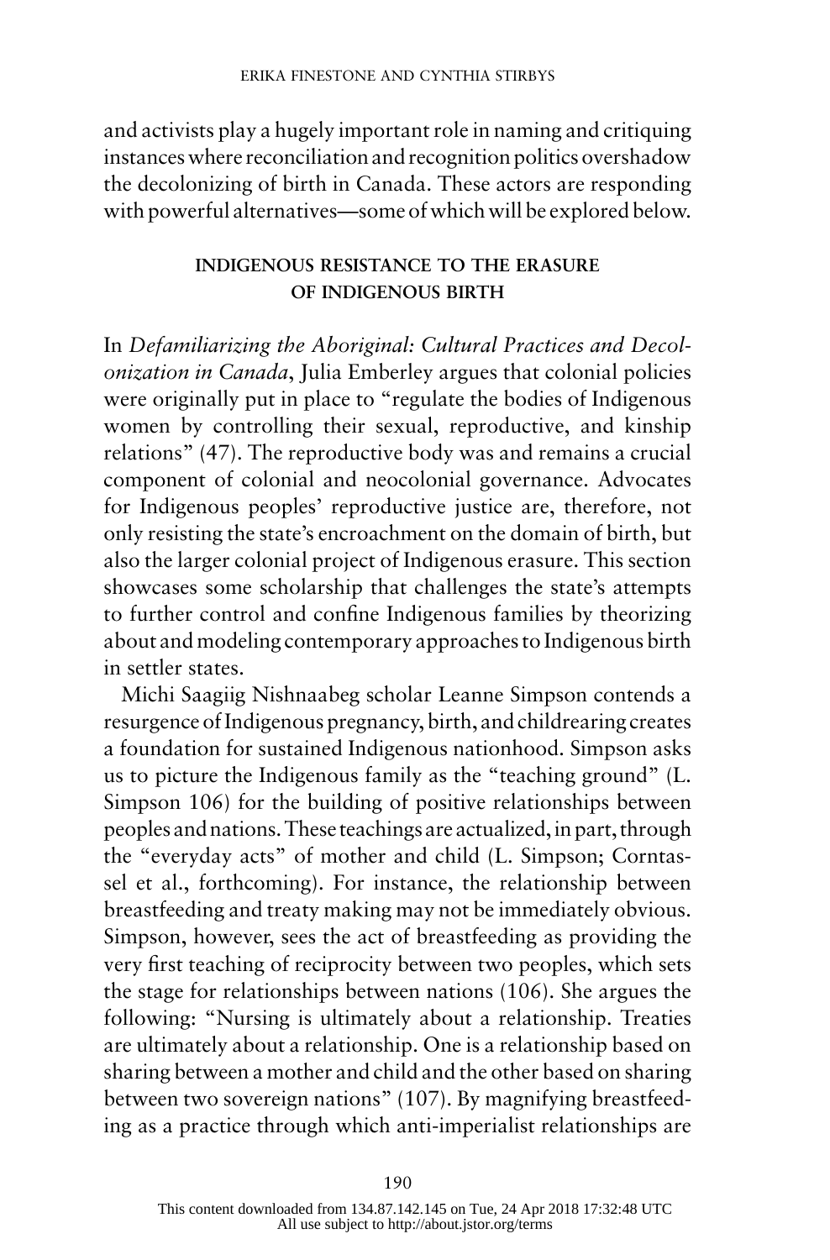and activists play a hugely important role in naming and critiquing instances where reconciliation and recognition politics overshadow the decolonizing of birth in Canada. These actors are responding with powerful alternatives—some of which will be explored below.

### **indigenous resistance to the erasure of indigenous birth**

In *Defamiliarizing the Aboriginal: Cultural Practices and Decolonization in Canada*, Julia Emberley argues that colonial policies were originally put in place to "regulate the bodies of Indigenous women by controlling their sexual, reproductive, and kinship relations" (47). The reproductive body was and remains a crucial component of colonial and neocolonial governance. Advocates for Indigenous peoples' reproductive justice are, therefore, not only resisting the state's encroachment on the domain of birth, but also the larger colonial project of Indigenous erasure. This section showcases some scholarship that challenges the state's attempts to further control and confine Indigenous families by theorizing about and modeling contemporary approaches to Indigenous birth in settler states.

Michi Saagiig Nishnaabeg scholar Leanne Simpson contends a resurgence of Indigenous pregnancy, birth, and childrearing creates a foundation for sustained Indigenous nationhood. Simpson asks us to picture the Indigenous family as the "teaching ground" (L. Simpson 106) for the building of positive relationships between peoples and nations. These teachings are actualized, in part, through the "everyday acts" of mother and child (L. Simpson; Corntassel et al., forthcoming). For instance, the relationship between breastfeeding and treaty making may not be immediately obvious. Simpson, however, sees the act of breastfeeding as providing the very first teaching of reciprocity between two peoples, which sets the stage for relationships between nations (106). She argues the following: "Nursing is ultimately about a relationship. Treaties are ultimately about a relationship. One is a relationship based on sharing between a mother and child and the other based on sharing between two sovereign nations" (107). By magnifying breastfeeding as a practice through which anti-imperialist relationships are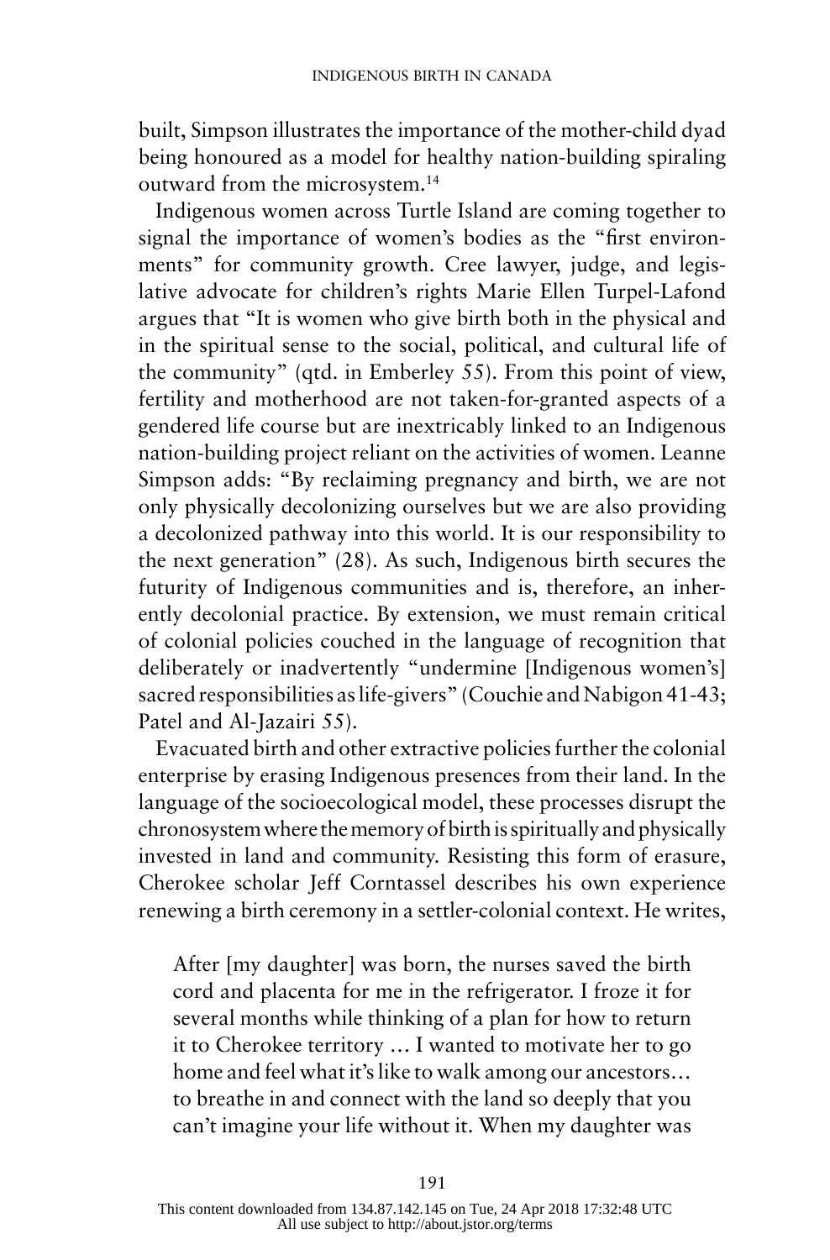built, Simpson illustrates the importance of the mother-child dyad being honoured as a model for healthy nation-building spiraling outward from the microsystem.14

Indigenous women across Turtle Island are coming together to signal the importance of women's bodies as the "first environments" for community growth. Cree lawyer, judge, and legislative advocate for children's rights Marie Ellen Turpel-Lafond argues that "It is women who give birth both in the physical and in the spiritual sense to the social, political, and cultural life of the community" (qtd. in Emberley 55). From this point of view, fertility and motherhood are not taken-for-granted aspects of a gendered life course but are inextricably linked to an Indigenous nation-building project reliant on the activities of women. Leanne Simpson adds: "By reclaiming pregnancy and birth, we are not only physically decolonizing ourselves but we are also providing a decolonized pathway into this world. It is our responsibility to the next generation" (28). As such, Indigenous birth secures the futurity of Indigenous communities and is, therefore, an inherently decolonial practice. By extension, we must remain critical of colonial policies couched in the language of recognition that deliberately or inadvertently "undermine [Indigenous women's] sacred responsibilities as life-givers" (Couchie and Nabigon 41-43; Patel and Al-Jazairi 55).

Evacuated birth and other extractive policies further the colonial enterprise by erasing Indigenous presences from their land. In the language of the socioecological model, these processes disrupt the chronosystem where the memory of birth is spiritually and physically invested in land and community. Resisting this form of erasure, Cherokee scholar Jeff Corntassel describes his own experience renewing a birth ceremony in a settler-colonial context. He writes,

After [my daughter] was born, the nurses saved the birth cord and placenta for me in the refrigerator. I froze it for several months while thinking of a plan for how to return it to Cherokee territory … I wanted to motivate her to go home and feel what it's like to walk among our ancestors… to breathe in and connect with the land so deeply that you can't imagine your life without it. When my daughter was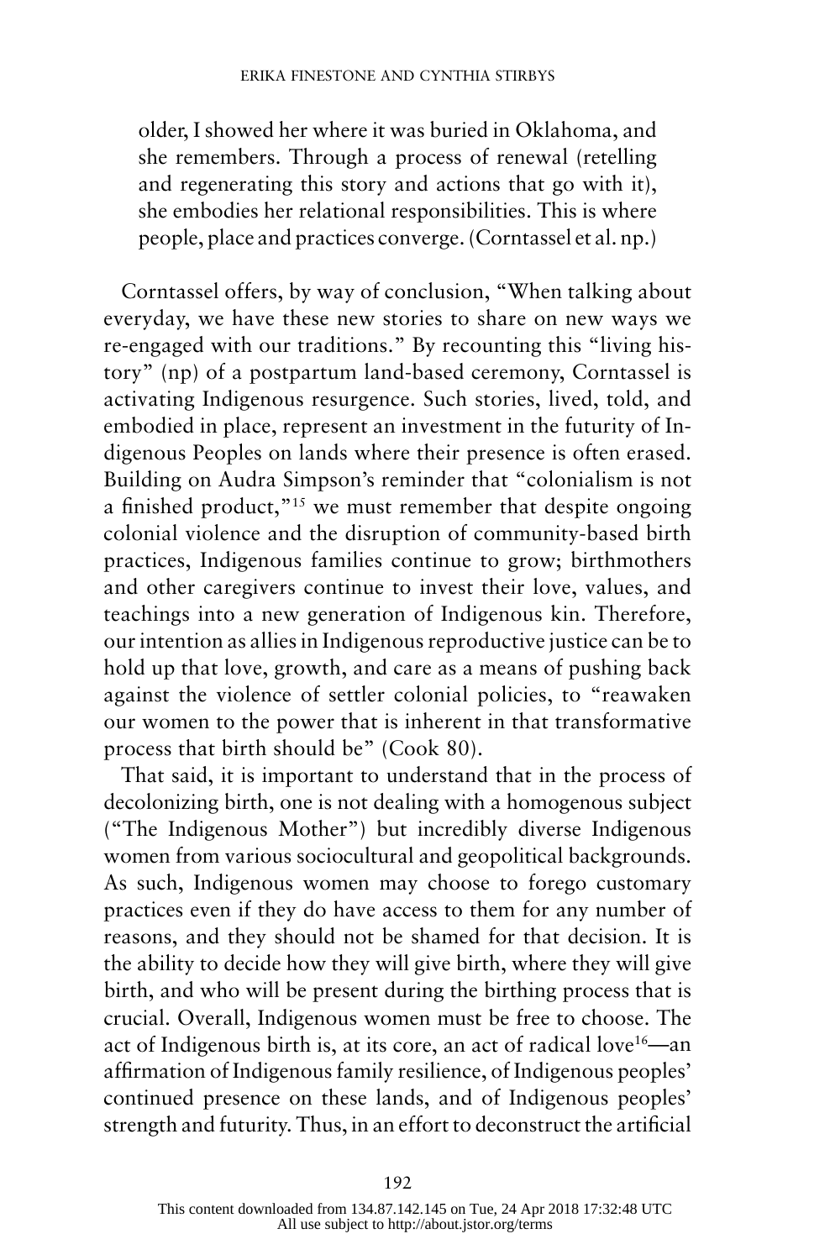older, I showed her where it was buried in Oklahoma, and she remembers. Through a process of renewal (retelling and regenerating this story and actions that go with it), she embodies her relational responsibilities. This is where people, place and practices converge. (Corntassel et al. np.)

Corntassel offers, by way of conclusion, "When talking about everyday, we have these new stories to share on new ways we re-engaged with our traditions." By recounting this "living history" (np) of a postpartum land-based ceremony, Corntassel is activating Indigenous resurgence. Such stories, lived, told, and embodied in place, represent an investment in the futurity of Indigenous Peoples on lands where their presence is often erased. Building on Audra Simpson's reminder that "colonialism is not a finished product,"<sup>15</sup> we must remember that despite ongoing colonial violence and the disruption of community-based birth practices, Indigenous families continue to grow; birthmothers and other caregivers continue to invest their love, values, and teachings into a new generation of Indigenous kin. Therefore, our intention as allies in Indigenous reproductive justice can be to hold up that love, growth, and care as a means of pushing back against the violence of settler colonial policies, to "reawaken our women to the power that is inherent in that transformative process that birth should be" (Cook 80).

That said, it is important to understand that in the process of decolonizing birth, one is not dealing with a homogenous subject ("The Indigenous Mother") but incredibly diverse Indigenous women from various sociocultural and geopolitical backgrounds. As such, Indigenous women may choose to forego customary practices even if they do have access to them for any number of reasons, and they should not be shamed for that decision. It is the ability to decide how they will give birth, where they will give birth, and who will be present during the birthing process that is crucial. Overall, Indigenous women must be free to choose. The act of Indigenous birth is, at its core, an act of radical love<sup>16</sup>—an affirmation of Indigenous family resilience, of Indigenous peoples' continued presence on these lands, and of Indigenous peoples' strength and futurity. Thus, in an effort to deconstruct the artificial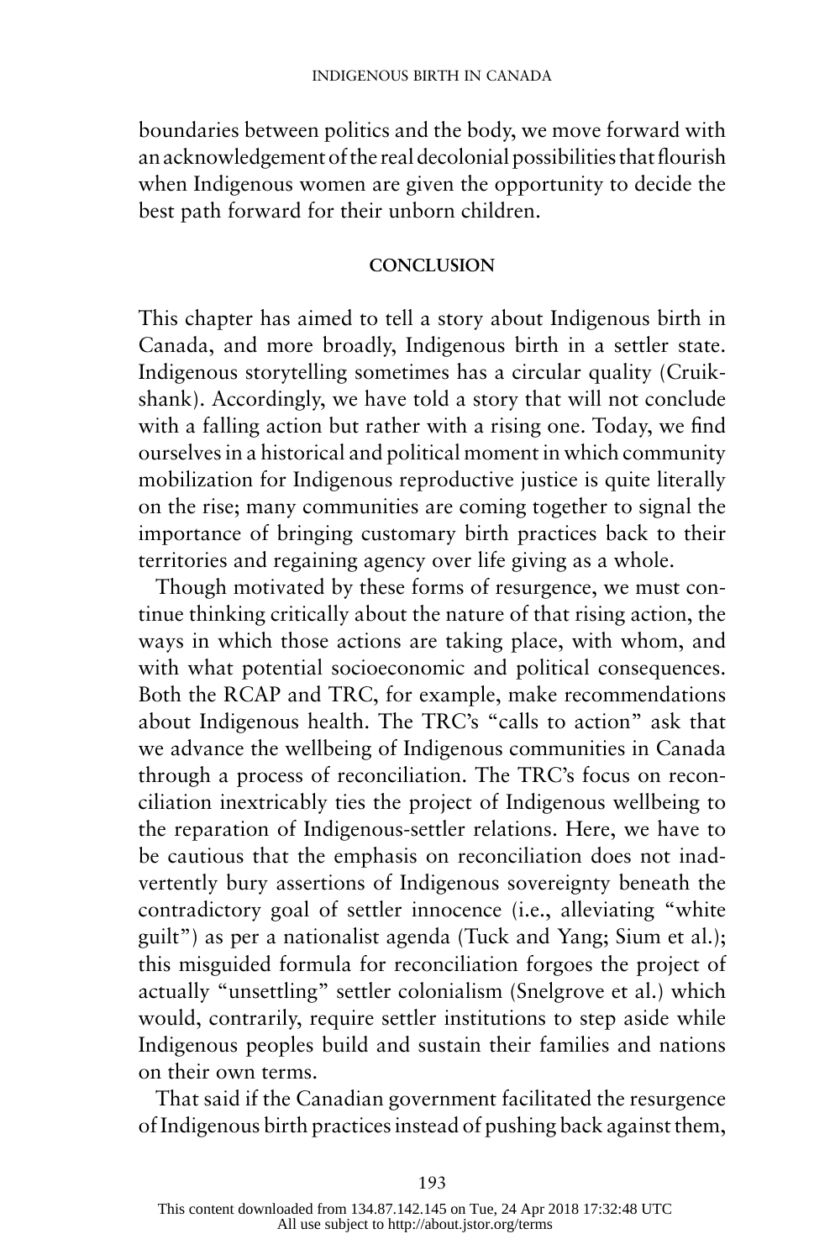boundaries between politics and the body, we move forward with an acknowledgement of the real decolonial possibilities that flourish when Indigenous women are given the opportunity to decide the best path forward for their unborn children.

#### **conclusion**

This chapter has aimed to tell a story about Indigenous birth in Canada, and more broadly, Indigenous birth in a settler state. Indigenous storytelling sometimes has a circular quality (Cruikshank). Accordingly, we have told a story that will not conclude with a falling action but rather with a rising one. Today, we find ourselves in a historical and political moment in which community mobilization for Indigenous reproductive justice is quite literally on the rise; many communities are coming together to signal the importance of bringing customary birth practices back to their territories and regaining agency over life giving as a whole.

Though motivated by these forms of resurgence, we must continue thinking critically about the nature of that rising action, the ways in which those actions are taking place, with whom, and with what potential socioeconomic and political consequences. Both the RCAP and TRC, for example, make recommendations about Indigenous health. The TRC's "calls to action" ask that we advance the wellbeing of Indigenous communities in Canada through a process of reconciliation. The TRC's focus on reconciliation inextricably ties the project of Indigenous wellbeing to the reparation of Indigenous-settler relations. Here, we have to be cautious that the emphasis on reconciliation does not inadvertently bury assertions of Indigenous sovereignty beneath the contradictory goal of settler innocence (i.e., alleviating "white guilt") as per a nationalist agenda (Tuck and Yang; Sium et al.); this misguided formula for reconciliation forgoes the project of actually "unsettling" settler colonialism (Snelgrove et al.) which would, contrarily, require settler institutions to step aside while Indigenous peoples build and sustain their families and nations on their own terms.

That said if the Canadian government facilitated the resurgence of Indigenous birth practices instead of pushing back against them,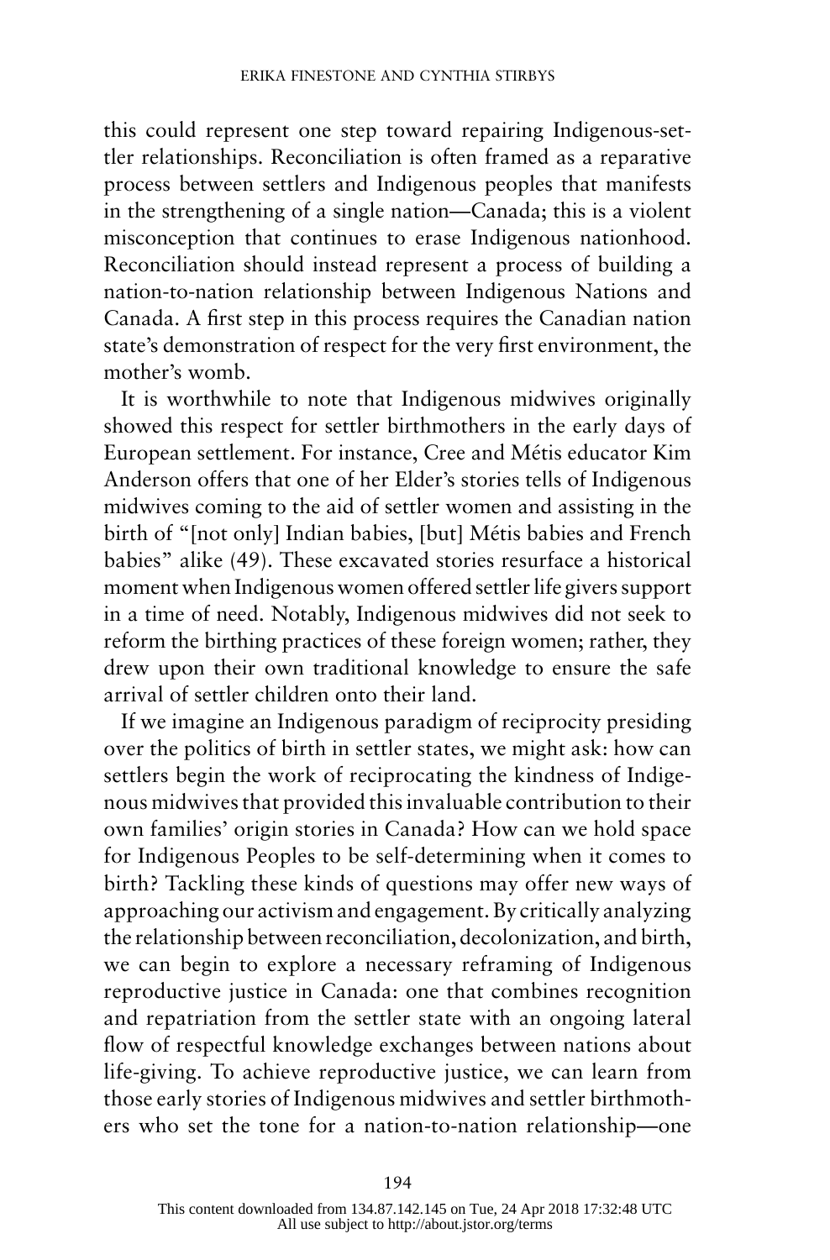this could represent one step toward repairing Indigenous-settler relationships. Reconciliation is often framed as a reparative process between settlers and Indigenous peoples that manifests in the strengthening of a single nation—Canada; this is a violent misconception that continues to erase Indigenous nationhood. Reconciliation should instead represent a process of building a nation-to-nation relationship between Indigenous Nations and Canada. A first step in this process requires the Canadian nation state's demonstration of respect for the very first environment, the mother's womb.

It is worthwhile to note that Indigenous midwives originally showed this respect for settler birthmothers in the early days of European settlement. For instance, Cree and Métis educator Kim Anderson offers that one of her Elder's stories tells of Indigenous midwives coming to the aid of settler women and assisting in the birth of "[not only] Indian babies, [but] Métis babies and French babies" alike (49). These excavated stories resurface a historical moment when Indigenous women offered settler life givers support in a time of need. Notably, Indigenous midwives did not seek to reform the birthing practices of these foreign women; rather, they drew upon their own traditional knowledge to ensure the safe arrival of settler children onto their land.

If we imagine an Indigenous paradigm of reciprocity presiding over the politics of birth in settler states, we might ask: how can settlers begin the work of reciprocating the kindness of Indigenous midwives that provided this invaluable contribution to their own families' origin stories in Canada? How can we hold space for Indigenous Peoples to be self-determining when it comes to birth? Tackling these kinds of questions may offer new ways of approaching our activism and engagement. By critically analyzing the relationship between reconciliation, decolonization, and birth, we can begin to explore a necessary reframing of Indigenous reproductive justice in Canada: one that combines recognition and repatriation from the settler state with an ongoing lateral flow of respectful knowledge exchanges between nations about life-giving. To achieve reproductive justice, we can learn from those early stories of Indigenous midwives and settler birthmothers who set the tone for a nation-to-nation relationship—one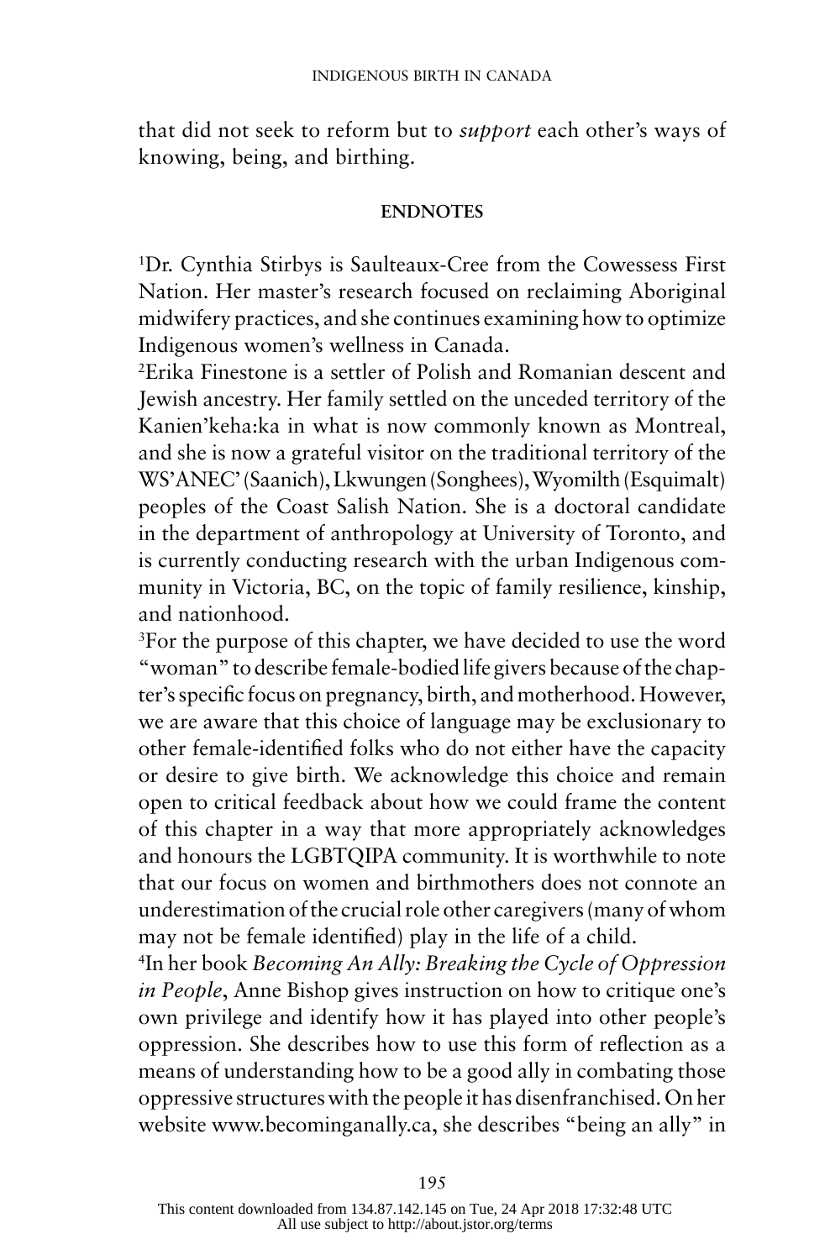that did not seek to reform but to *support* each other's ways of knowing, being, and birthing.

#### **endnotes**

1 Dr. Cynthia Stirbys is Saulteaux-Cree from the Cowessess First Nation. Her master's research focused on reclaiming Aboriginal midwifery practices, and she continues examining how to optimize Indigenous women's wellness in Canada.

2 Erika Finestone is a settler of Polish and Romanian descent and Jewish ancestry. Her family settled on the unceded territory of the Kanien'keha:ka in what is now commonly known as Montreal, and she is now a grateful visitor on the traditional territory of the WS'ANEC' (Saanich), Lkwungen (Songhees), Wyomilth (Esquimalt) peoples of the Coast Salish Nation. She is a doctoral candidate in the department of anthropology at University of Toronto, and is currently conducting research with the urban Indigenous community in Victoria, BC, on the topic of family resilience, kinship, and nationhood.

3 For the purpose of this chapter, we have decided to use the word "woman" to describe female-bodied life givers because of the chapter's specific focus on pregnancy, birth, and motherhood. However, we are aware that this choice of language may be exclusionary to other female-identified folks who do not either have the capacity or desire to give birth. We acknowledge this choice and remain open to critical feedback about how we could frame the content of this chapter in a way that more appropriately acknowledges and honours the LGBTQIPA community. It is worthwhile to note that our focus on women and birthmothers does not connote an underestimation of the crucial role other caregivers (many of whom may not be female identified) play in the life of a child.

4 In her book *Becoming An Ally: Breaking the Cycle of Oppression in People*, Anne Bishop gives instruction on how to critique one's own privilege and identify how it has played into other people's oppression. She describes how to use this form of reflection as a means of understanding how to be a good ally in combating those oppressive structures with the people it has disenfranchised. On her website [www.becominganally.ca,](http://www.becominganally.ca) she describes "being an ally" in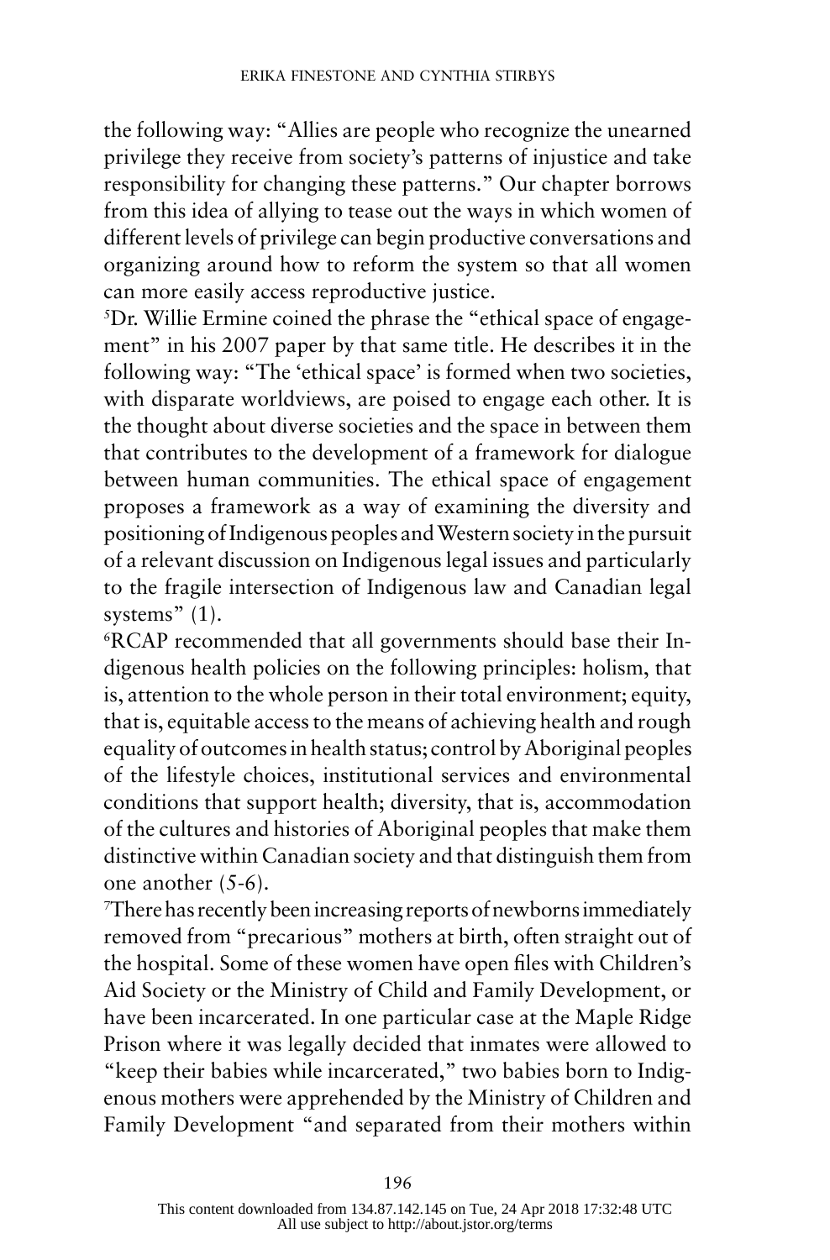the following way: "Allies are people who recognize the unearned privilege they receive from society's patterns of injustice and take responsibility for changing these patterns." Our chapter borrows from this idea of allying to tease out the ways in which women of different levels of privilege can begin productive conversations and organizing around how to reform the system so that all women can more easily access reproductive justice.

5 Dr. Willie Ermine coined the phrase the "ethical space of engagement" in his 2007 paper by that same title. He describes it in the following way: "The 'ethical space' is formed when two societies, with disparate worldviews, are poised to engage each other. It is the thought about diverse societies and the space in between them that contributes to the development of a framework for dialogue between human communities. The ethical space of engagement proposes a framework as a way of examining the diversity and positioning of Indigenous peoples and Western society in the pursuit of a relevant discussion on Indigenous legal issues and particularly to the fragile intersection of Indigenous law and Canadian legal systems" (1).

6 RCAP recommended that all governments should base their Indigenous health policies on the following principles: holism, that is, attention to the whole person in their total environment; equity, that is, equitable access to the means of achieving health and rough equality of outcomes in health status; control by Aboriginal peoples of the lifestyle choices, institutional services and environmental conditions that support health; diversity, that is, accommodation of the cultures and histories of Aboriginal peoples that make them distinctive within Canadian society and that distinguish them from one another (5-6).

7 There has recently been increasing reports of newborns immediately removed from "precarious" mothers at birth, often straight out of the hospital. Some of these women have open files with Children's Aid Society or the Ministry of Child and Family Development, or have been incarcerated. In one particular case at the Maple Ridge Prison where it was legally decided that inmates were allowed to "keep their babies while incarcerated," two babies born to Indigenous mothers were apprehended by the Ministry of Children and Family Development "and separated from their mothers within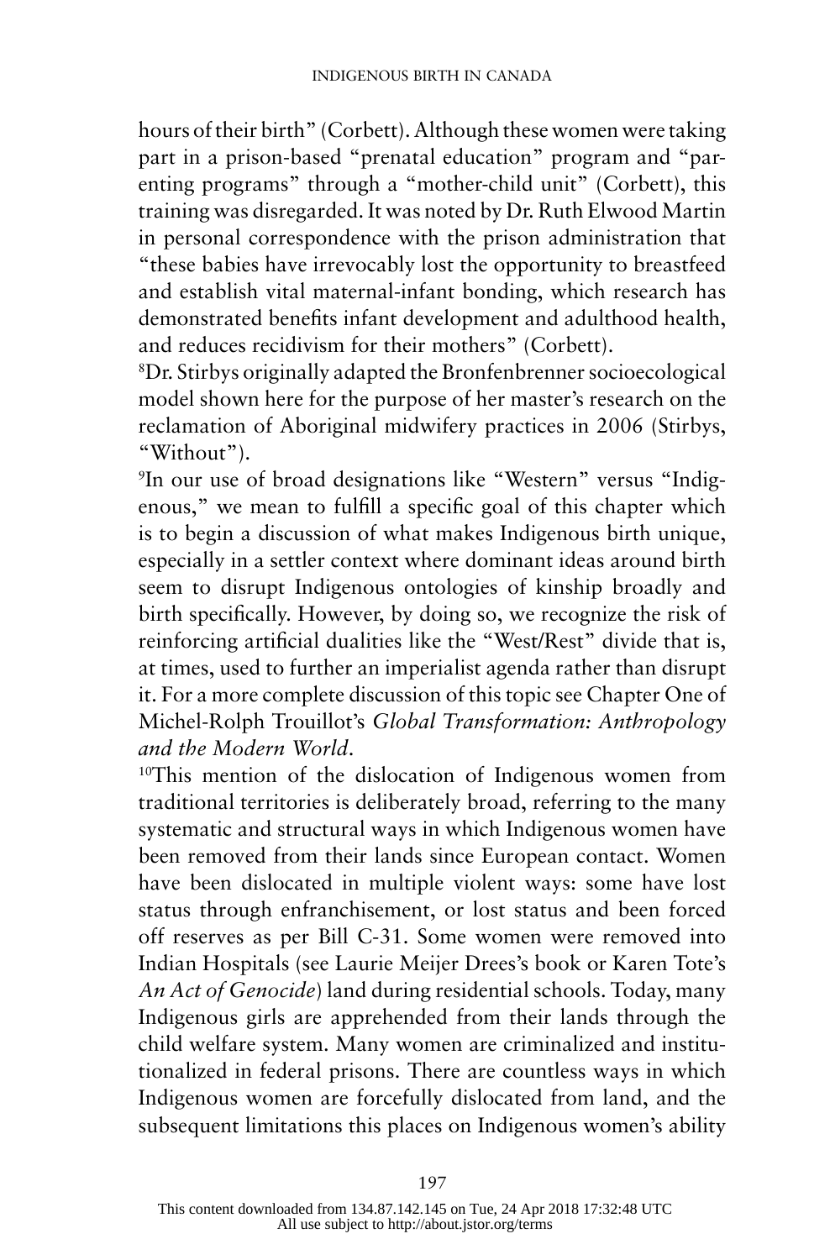hours of their birth" (Corbett). Although these women were taking part in a prison-based "prenatal education" program and "parenting programs" through a "mother-child unit" (Corbett), this training was disregarded. It was noted by Dr. Ruth Elwood Martin in personal correspondence with the prison administration that "these babies have irrevocably lost the opportunity to breastfeed and establish vital maternal-infant bonding, which research has demonstrated benefits infant development and adulthood health, and reduces recidivism for their mothers" (Corbett).

8 Dr. Stirbys originally adapted the Bronfenbrenner socioecological model shown here for the purpose of her master's research on the reclamation of Aboriginal midwifery practices in 2006 (Stirbys, "Without").

9 In our use of broad designations like "Western" versus "Indigenous," we mean to fulfill a specific goal of this chapter which is to begin a discussion of what makes Indigenous birth unique, especially in a settler context where dominant ideas around birth seem to disrupt Indigenous ontologies of kinship broadly and birth specifically. However, by doing so, we recognize the risk of reinforcing artificial dualities like the "West/Rest" divide that is, at times, used to further an imperialist agenda rather than disrupt it. For a more complete discussion of this topic see Chapter One of Michel-Rolph Trouillot's *Global Transformation: Anthropology and the Modern World.* <sup>10</sup>This mention of the dislocation of Indigenous women from

traditional territories is deliberately broad, referring to the many systematic and structural ways in which Indigenous women have been removed from their lands since European contact. Women have been dislocated in multiple violent ways: some have lost status through enfranchisement, or lost status and been forced off reserves as per Bill C-31. Some women were removed into Indian Hospitals (see Laurie Meijer Drees's book or Karen Tote's *An Act of Genocide*) land during residential schools. Today, many Indigenous girls are apprehended from their lands through the child welfare system. Many women are criminalized and institutionalized in federal prisons. There are countless ways in which Indigenous women are forcefully dislocated from land, and the subsequent limitations this places on Indigenous women's ability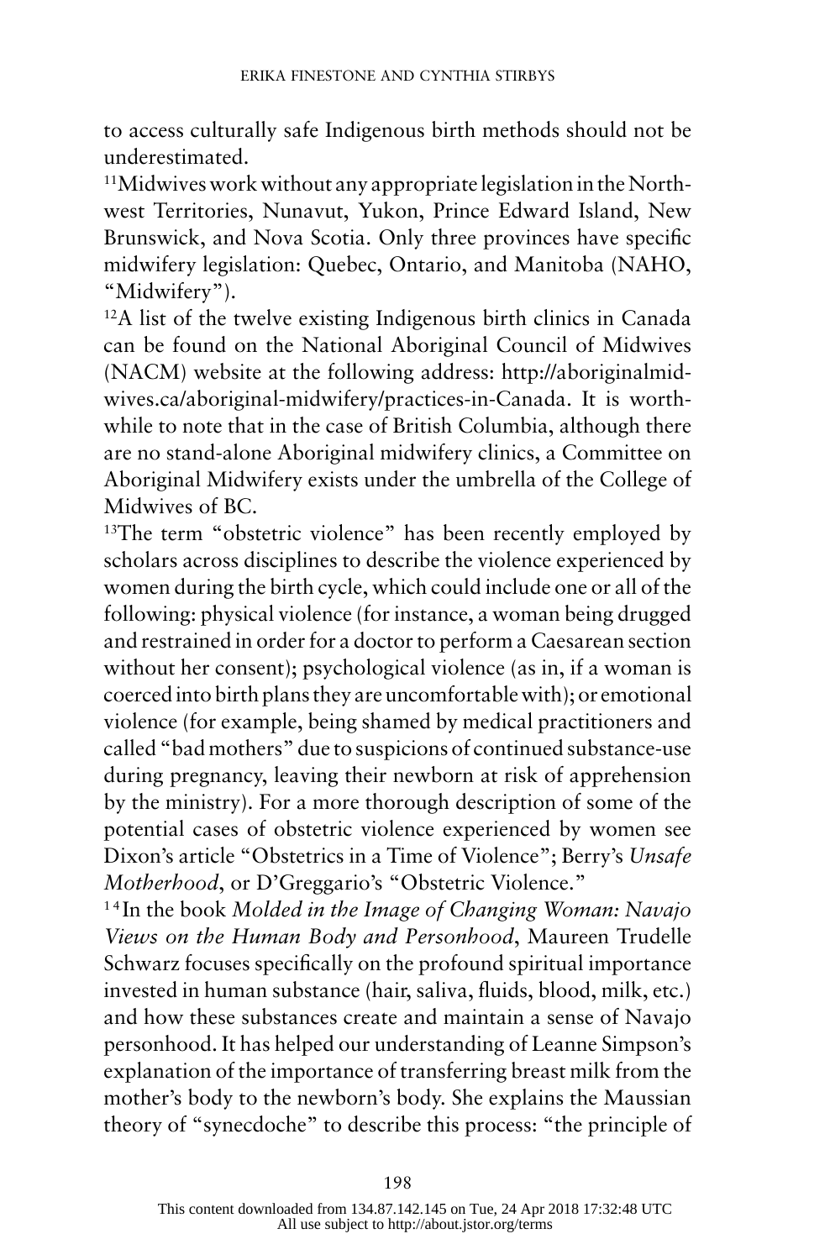to access culturally safe Indigenous birth methods should not be underestimated.

11Midwives work without any appropriate legislation in the Northwest Territories, Nunavut, Yukon, Prince Edward Island, New Brunswick, and Nova Scotia. Only three provinces have specific midwifery legislation: Quebec, Ontario, and Manitoba (NAHO, "Midwifery").

12A list of the twelve existing Indigenous birth clinics in Canada can be found on the National Aboriginal Council of Midwives (NACM) website at the following address: [http://aboriginalmid](http://www.aboriginalmidwives.ca/aboriginal-midwifery/practices-in-Canada)[wives.ca/aboriginal-midwifery/practices-in-Canada.](http://www.aboriginalmidwives.ca/aboriginal-midwifery/practices-in-Canada) It is worthwhile to note that in the case of British Columbia, although there are no stand-alone Aboriginal midwifery clinics, a Committee on Aboriginal Midwifery exists under the umbrella of the College of Midwives of BC.

<sup>13</sup>The term "obstetric violence" has been recently employed by scholars across disciplines to describe the violence experienced by women during the birth cycle, which could include one or all of the following: physical violence (for instance, a woman being drugged and restrained in order for a doctor to perform a Caesarean section without her consent); psychological violence (as in, if a woman is coerced into birth plans they are uncomfortable with); or emotional violence (for example, being shamed by medical practitioners and called "bad mothers" due to suspicions of continued substance-use during pregnancy, leaving their newborn at risk of apprehension by the ministry). For a more thorough description of some of the potential cases of obstetric violence experienced by women see Dixon's article "Obstetrics in a Time of Violence"; Berry's *Unsafe Motherhood*, or D'Greggario's "Obstetric Violence."

1 4 In the book *Molded in the Image of Changing Woman: Navajo Views on the Human Body and Personhood*, Maureen Trudelle Schwarz focuses specifically on the profound spiritual importance invested in human substance (hair, saliva, fluids, blood, milk, etc.) and how these substances create and maintain a sense of Navajo personhood. It has helped our understanding of Leanne Simpson's explanation of the importance of transferring breast milk from the mother's body to the newborn's body. She explains the Maussian theory of "synecdoche" to describe this process: "the principle of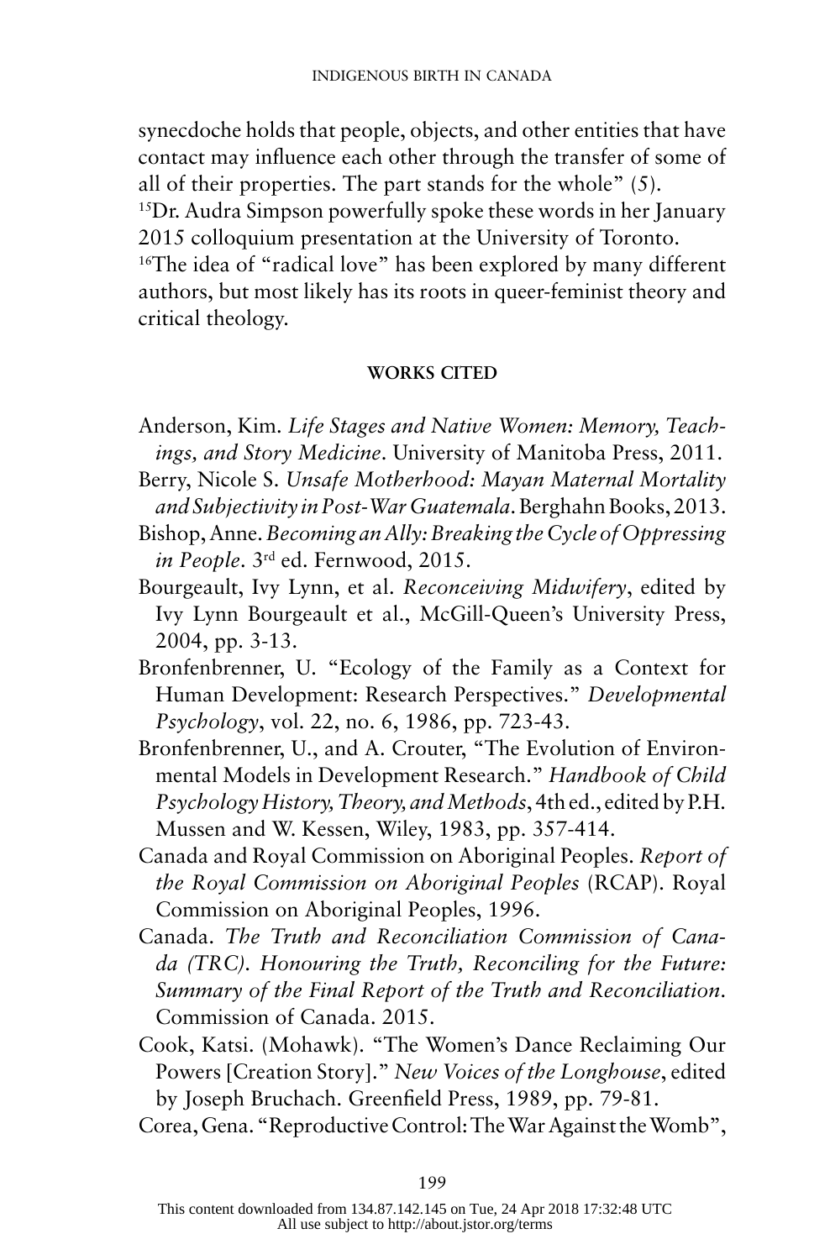synecdoche holds that people, objects, and other entities that have contact may influence each other through the transfer of some of all of their properties. The part stands for the whole" (5).

15Dr. Audra Simpson powerfully spoke these words in her January 2015 colloquium presentation at the University of Toronto.

<sup>16</sup>The idea of "radical love" has been explored by many different authors, but most likely has its roots in queer-feminist theory and critical theology.

#### **wORKS CITED**

Anderson, Kim. *Life Stages and Native Women: Memory, Teachings, and Story Medicine*. University of Manitoba Press, 2011.

Berry, Nicole S. *Unsafe Motherhood: Mayan Maternal Mortality and Subjectivity in Post-War Guatemala*. Berghahn Books, 2013.

- Bishop, Anne. *Becoming an Ally: Breaking the Cycle of Oppressing in People*. 3rd ed. Fernwood, 2015.
- Bourgeault, Ivy Lynn, et al. *Reconceiving Midwifery*, edited by Ivy Lynn Bourgeault et al., McGill-Queen's University Press, 2004, pp. 3-13.
- Bronfenbrenner, U. "Ecology of the Family as a Context for Human Development: Research Perspectives." *Developmental Psychology*, vol. 22, no. 6, 1986, pp. 723-43.

Bronfenbrenner, U., and A. Crouter, "The Evolution of Environmental Models in Development Research." *Handbook of Child PsychologyHistory, Theory, and Methods*, 4th ed., edited by P.H. Mussen and W. Kessen, Wiley, 1983, pp. 357-414.

- Canada and Royal Commission on Aboriginal Peoples. *Report of the Royal Commission on Aboriginal Peoples* (RCAP). Royal Commission on Aboriginal Peoples, 1996.
- Canada. *The Truth and Reconciliation Commission of Canada (TRC). Honouring the Truth, Reconciling for the Future: Summary of the Final Report of the Truth and Reconciliation*. Commission of Canada. 2015.
- Cook, Katsi. (Mohawk). "The Women's Dance Reclaiming Our Powers [Creation Story]." *New Voices of the Longhouse*, edited by Joseph Bruchach. Greenfield Press, 1989, pp. 79-81.

Corea, Gena. "Reproductive Control: The War Against the Womb",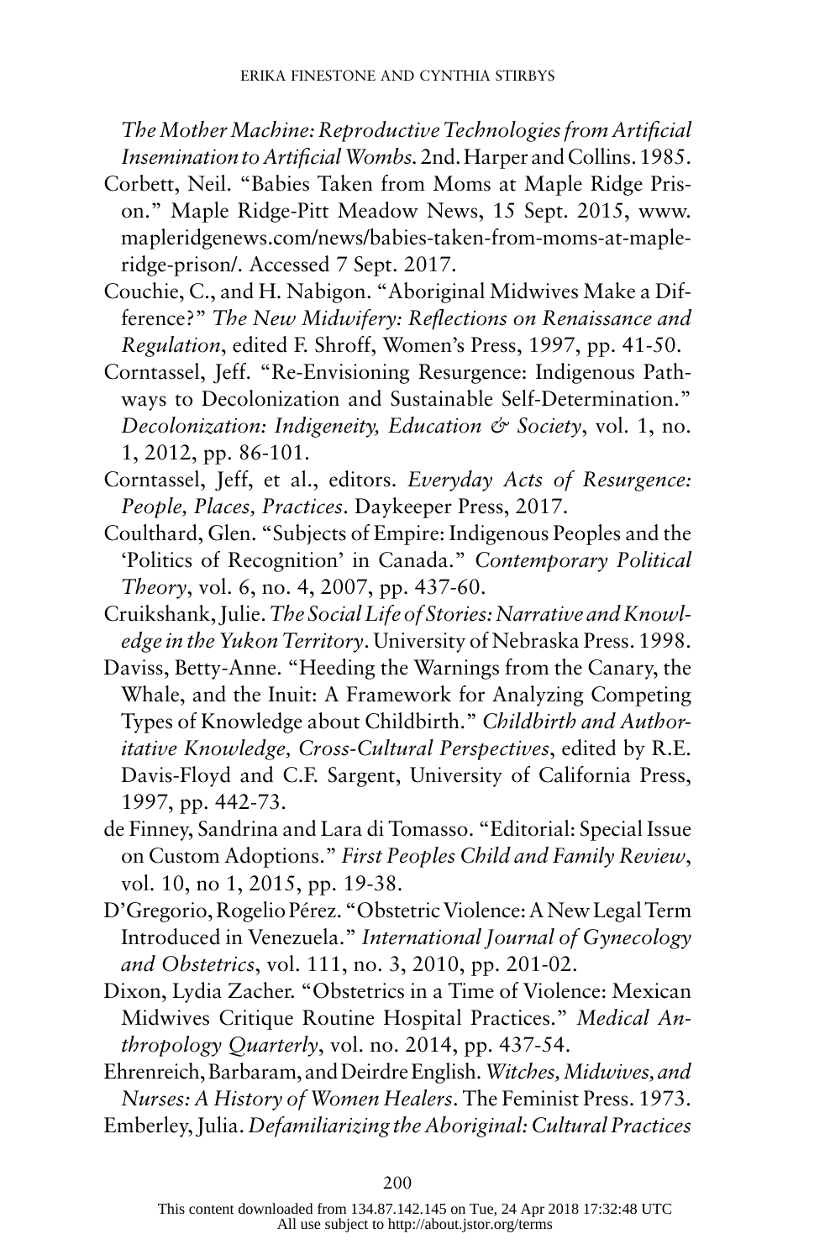*The Mother Machine: Reproductive Technologies from Artificial Insemination to Artificial Wombs.* 2nd. Harper and Collins. 1985.

- Corbett, Neil. "Babies Taken from Moms at Maple Ridge Prison." Maple Ridge-Pitt Meadow News, 15 Sept. 2015, [www.](http://www.mapleridgenews.com/news/babies-taken-from-moms-at-maple-ridge-prison/) [mapleridgenews.com/news/babies-taken-from-moms-at-maple](http://www.mapleridgenews.com/news/babies-taken-from-moms-at-maple-ridge-prison/)[ridge-prison/.](http://www.mapleridgenews.com/news/babies-taken-from-moms-at-maple-ridge-prison/) Accessed 7 Sept. 2017.
- Couchie, C., and H. Nabigon. "Aboriginal Midwives Make a Difference?" *The New Midwifery: Reflections on Renaissance and Regulation*, edited F. Shroff, Women's Press, 1997, pp. 41-50.
- Corntassel, Jeff. "Re-Envisioning Resurgence: Indigenous Pathways to Decolonization and Sustainable Self-Determination." *Decolonization: Indigeneity, Education & Society*, vol. 1, no. 1, 2012, pp. 86-101.
- Corntassel, Jeff, et al., editors. *Everyday Acts of Resurgence: People, Places, Practices*. Daykeeper Press, 2017.
- Coulthard, Glen. "Subjects of Empire: Indigenous Peoples and the 'Politics of Recognition' in Canada." *Contemporary Political Theory*, vol. 6, no. 4, 2007, pp. 437-60.
- Cruikshank, Julie. *The Social Life of Stories: Narrative and Knowledge in the Yukon Territory*. University of Nebraska Press. 1998.
- Daviss, Betty-Anne. "Heeding the Warnings from the Canary, the Whale, and the Inuit: A Framework for Analyzing Competing Types of Knowledge about Childbirth." *Childbirth and Authoritative Knowledge, Cross-Cultural Perspectives*, edited by R.E. Davis-Floyd and C.F. Sargent, University of California Press, 1997, pp. 442-73.
- de Finney, Sandrina and Lara di Tomasso. "Editorial: Special Issue on Custom Adoptions." *First Peoples Child and Family Review*, vol. 10, no 1, 2015, pp. 19-38.
- D'Gregorio, Rogelio Pérez. "Obstetric Violence: A New Legal Term Introduced in Venezuela." *International Journal of Gynecology and Obstetrics*, vol. 111, no. 3, 2010, pp. 201-02.
- Dixon, Lydia Zacher. "Obstetrics in a Time of Violence: Mexican Midwives Critique Routine Hospital Practices." *Medical Anthropology Quarterly*, vol. no. 2014, pp. 437-54.
- Ehrenreich, Barbaram, and Deirdre English. *Witches, Midwives, and Nurses: A History of Women Healers*. The Feminist Press. 1973.
- Emberley, Julia. *Defamiliarizing the Aboriginal: Cultural Practices*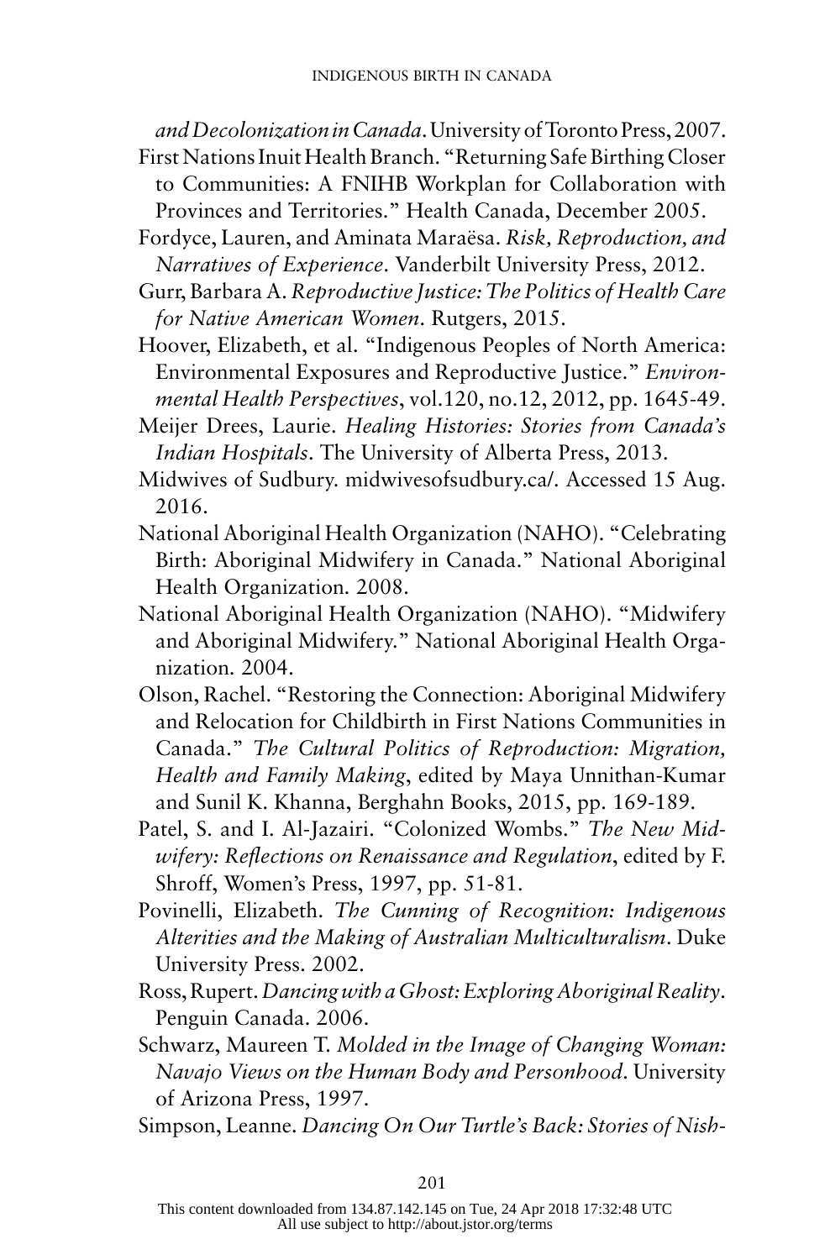*and Decolonization in Canada*. University of Toronto Press, 2007.

- First Nations Inuit Health Branch. "Returning Safe Birthing Closer to Communities: A FNIHB Workplan for Collaboration with Provinces and Territories." Health Canada, December 2005.
- Fordyce, Lauren, and Aminata Maraësa. *Risk, Reproduction, and Narratives of Experience*. Vanderbilt University Press, 2012.
- Gurr, Barbara A. *Reproductive Justice: The Politics of Health Care for Native American Women*. Rutgers, 2015.
- Hoover, Elizabeth, et al. "Indigenous Peoples of North America: Environmental Exposures and Reproductive Justice." *Environmental Health Perspectives*, vol.120, no.12, 2012, pp. 1645-49.
- Meijer Drees, Laurie. *Healing Histories: Stories from Canada's Indian Hospitals*. The University of Alberta Press, 2013.
- Midwives of Sudbury. [midwivesofsudbury.ca/](http://midwivesofsudbury.ca/). Accessed 15 Aug. 2016.
- National Aboriginal Health Organization (NAHO). "Celebrating Birth: Aboriginal Midwifery in Canada." National Aboriginal Health Organization*.* 2008.
- National Aboriginal Health Organization (NAHO). "Midwifery and Aboriginal Midwifery." National Aboriginal Health Organization*.* 2004.
- Olson, Rachel. "Restoring the Connection: Aboriginal Midwifery and Relocation for Childbirth in First Nations Communities in Canada." *The Cultural Politics of Reproduction: Migration, Health and Family Making*, edited by Maya Unnithan-Kumar and Sunil K. Khanna, Berghahn Books, 2015, pp. 169-189.
- Patel, S. and I. Al-Jazairi. "Colonized Wombs." *The New Midwifery: Reflections on Renaissance and Regulation*, edited by F. Shroff, Women's Press, 1997, pp. 51-81.
- Povinelli, Elizabeth. *The Cunning of Recognition: Indigenous Alterities and the Making of Australian Multiculturalism*. Duke University Press. 2002.
- Ross, Rupert.*Dancing with a Ghost: Exploring Aboriginal Reality*. Penguin Canada. 2006.
- Schwarz, Maureen T. *Molded in the Image of Changing Woman: Navajo Views on the Human Body and Personhood*. University of Arizona Press, 1997.
- Simpson, Leanne. *Dancing On Our Turtle's Back: Stories of Nish-*